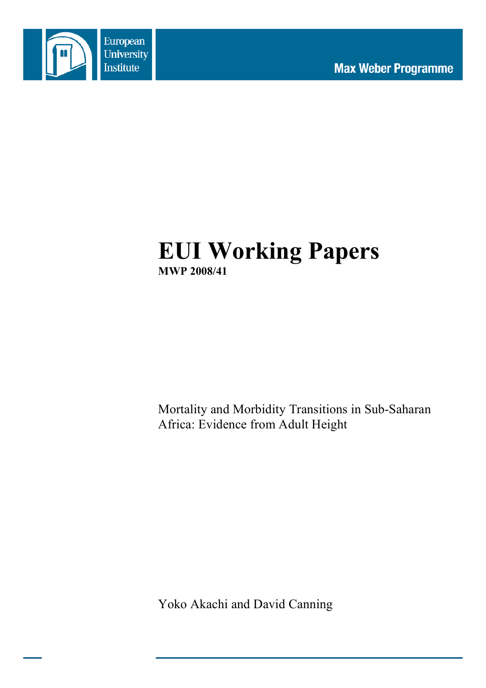

# **EUI Working Papers MWP 2008/41**

Mortality and Morbidity Transitions in Sub-Saharan Africa: Evidence from Adult Height

Yoko Akachi and David Canning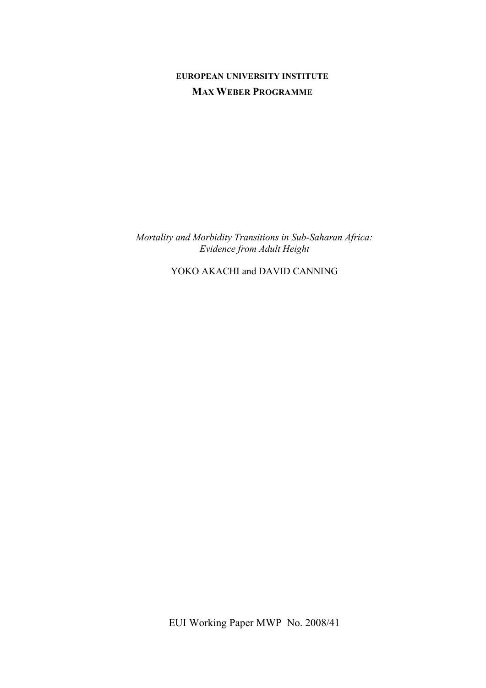# **EUROPEAN UNIVERSITY INSTITUTE MAX WEBER PROGRAMME**

*Mortality and Morbidity Transitions in Sub-Saharan Africa: Evidence from Adult Height*

YOKO AKACHI and DAVID CANNING

EUI Working Paper MWP No. 2008/41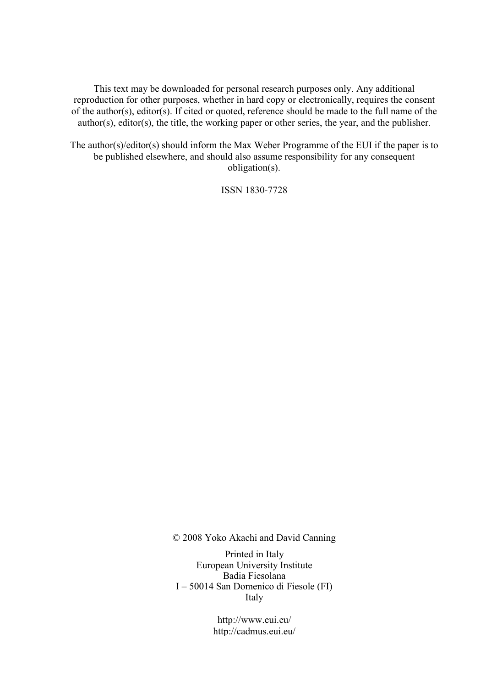This text may be downloaded for personal research purposes only. Any additional reproduction for other purposes, whether in hard copy or electronically, requires the consent of the author(s), editor(s). If cited or quoted, reference should be made to the full name of the author(s), editor(s), the title, the working paper or other series, the year, and the publisher.

The author(s)/editor(s) should inform the Max Weber Programme of the EUI if the paper is to be published elsewhere, and should also assume responsibility for any consequent obligation(s).

ISSN 1830-7728

© 2008 Yoko Akachi and David Canning

Printed in Italy European University Institute Badia Fiesolana I – 50014 San Domenico di Fiesole (FI) Italy

> http://www.eui.eu/ http://cadmus.eui.eu/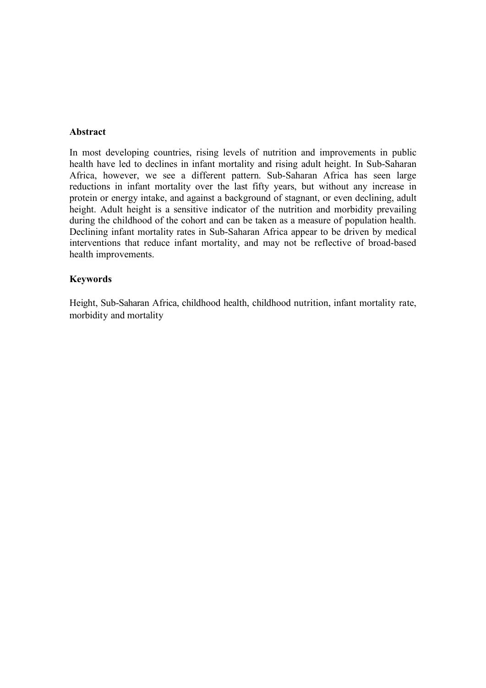#### **Abstract**

In most developing countries, rising levels of nutrition and improvements in public health have led to declines in infant mortality and rising adult height. In Sub-Saharan Africa, however, we see a different pattern. Sub-Saharan Africa has seen large reductions in infant mortality over the last fifty years, but without any increase in protein or energy intake, and against a background of stagnant, or even declining, adult height. Adult height is a sensitive indicator of the nutrition and morbidity prevailing during the childhood of the cohort and can be taken as a measure of population health. Declining infant mortality rates in Sub-Saharan Africa appear to be driven by medical interventions that reduce infant mortality, and may not be reflective of broad-based health improvements.

### **Keywords**

Height, Sub-Saharan Africa, childhood health, childhood nutrition, infant mortality rate, morbidity and mortality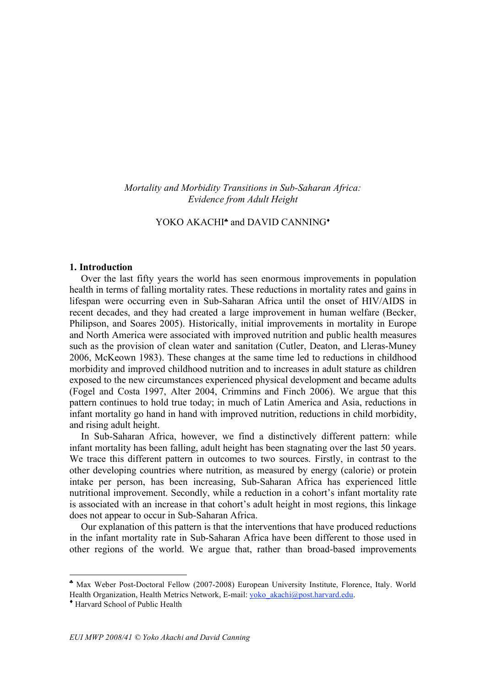*Mortality and Morbidity Transitions in Sub-Saharan Africa: Evidence from Adult Height*

## YOKO AKACHI<sup>\*</sup> and DAVID CANNING<sup>\*</sup>

#### **1. Introduction**

Over the last fifty years the world has seen enormous improvements in population health in terms of falling mortality rates. These reductions in mortality rates and gains in lifespan were occurring even in Sub-Saharan Africa until the onset of HIV/AIDS in recent decades, and they had created a large improvement in human welfare (Becker, Philipson, and Soares 2005). Historically, initial improvements in mortality in Europe and North America were associated with improved nutrition and public health measures such as the provision of clean water and sanitation (Cutler, Deaton, and Lleras-Muney 2006, McKeown 1983). These changes at the same time led to reductions in childhood morbidity and improved childhood nutrition and to increases in adult stature as children exposed to the new circumstances experienced physical development and became adults (Fogel and Costa 1997, Alter 2004, Crimmins and Finch 2006). We argue that this pattern continues to hold true today; in much of Latin America and Asia, reductions in infant mortality go hand in hand with improved nutrition, reductions in child morbidity, and rising adult height.

In Sub-Saharan Africa, however, we find a distinctively different pattern: while infant mortality has been falling, adult height has been stagnating over the last 50 years. We trace this different pattern in outcomes to two sources. Firstly, in contrast to the other developing countries where nutrition, as measured by energy (calorie) or protein intake per person, has been increasing, Sub-Saharan Africa has experienced little nutritional improvement. Secondly, while a reduction in a cohort's infant mortality rate is associated with an increase in that cohort's adult height in most regions, this linkage does not appear to occur in Sub-Saharan Africa.

Our explanation of this pattern is that the interventions that have produced reductions in the infant mortality rate in Sub-Saharan Africa have been different to those used in other regions of the world. We argue that, rather than broad-based improvements

 $\overline{a}$ 

<sup>♣</sup> Max Weber Post-Doctoral Fellow (2007-2008) European University Institute, Florence, Italy. World Health Organization, Health Metrics Network, E-mail: yoko\_akachi@post.harvard.edu.

<sup>♦</sup> Harvard School of Public Health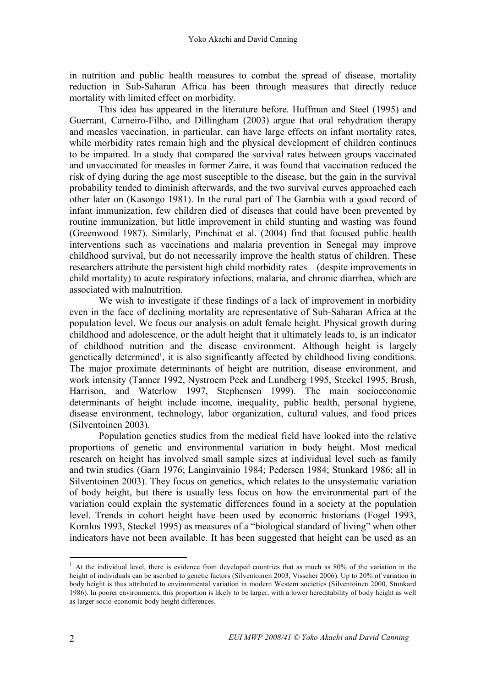in nutrition and public health measures to combat the spread of disease, mortality reduction in Sub-Saharan Africa has been through measures that directly reduce mortality with limited effect on morbidity.

This idea has appeared in the literature before. Huffman and Steel (1995) and Guerrant, Carneiro-Filho, and Dillingham (2003) argue that oral rehydration therapy and measles vaccination, in particular, can have large effects on infant mortality rates, while morbidity rates remain high and the physical development of children continues to be impaired. In a study that compared the survival rates between groups vaccinated and unvaccinated for measles in former Zaire, it was found that vaccination reduced the risk of dying during the age most susceptible to the disease, but the gain in the survival probability tended to diminish afterwards, and the two survival curves approached each other later on (Kasongo 1981). In the rural part of The Gambia with a good record of infant immunization, few children died of diseases that could have been prevented by routine immunization, but little improvement in child stunting and wasting was found (Greenwood 1987). Similarly, Pinchinat et al. (2004) find that focused public health interventions such as vaccinations and malaria prevention in Senegal may improve childhood survival, but do not necessarily improve the health status of children. These researchers attribute the persistent high child morbidity rates (despite improvements in child mortality) to acute respiratory infections, malaria, and chronic diarrhea, which are associated with malnutrition.

We wish to investigate if these findings of a lack of improvement in morbidity even in the face of declining mortality are representative of Sub-Saharan Africa at the population level. We focus our analysis on adult female height. Physical growth during childhood and adolescence, or the adult height that it ultimately leads to, is an indicator of childhood nutrition and the disease environment. Although height is largely genetically determined<sup>1</sup>, it is also significantly affected by childhood living conditions. The major proximate determinants of height are nutrition, disease environment, and work intensity (Tanner 1992, Nystroem Peck and Lundberg 1995, Steckel 1995, Brush, Harrison, and Waterlow 1997, Stephensen 1999). The main socioeconomic determinants of height include income, inequality, public health, personal hygiene, disease environment, technology, labor organization, cultural values, and food prices (Silventoinen 2003).

Population genetics studies from the medical field have looked into the relative proportions of genetic and environmental variation in body height. Most medical research on height has involved small sample sizes at individual level such as family and twin studies (Garn 1976; Langinvainio 1984; Pedersen 1984; Stunkard 1986; all in Silventoinen 2003). They focus on genetics, which relates to the unsystematic variation of body height, but there is usually less focus on how the environmental part of the variation could explain the systematic differences found in a society at the population level. Trends in cohort height have been used by economic historians (Fogel 1993, Komlos 1993, Steckel 1995) as measures of a "biological standard of living" when other indicators have not been available. It has been suggested that height can be used as an

 $1$  At the individual level, there is evidence from developed countries that as much as 80% of the variation in the height of individuals can be ascribed to genetic factors (Silventoinen 2003, Visscher 2006). Up to 20% of variation in body height is thus attributed to environmental variation in modern Western societies (Silventoinen 2000, Stunkard 1986). In poorer environments, this proportion is likely to be larger, with a lower hereditability of body height as well as larger socio-economic body height differences.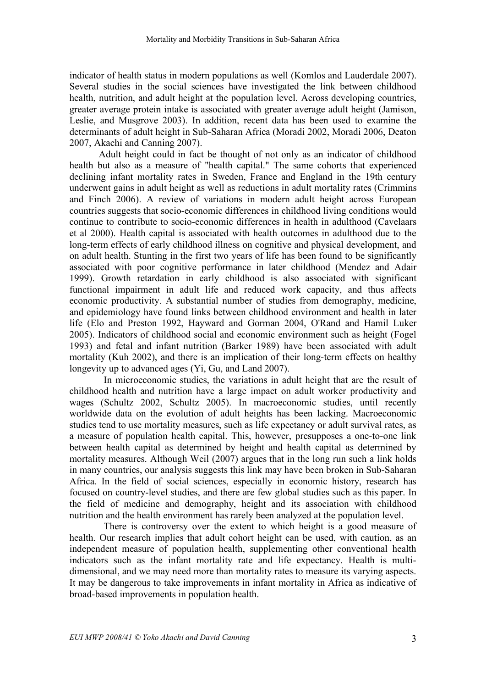indicator of health status in modern populations as well (Komlos and Lauderdale 2007). Several studies in the social sciences have investigated the link between childhood health, nutrition, and adult height at the population level. Across developing countries, greater average protein intake is associated with greater average adult height (Jamison, Leslie, and Musgrove 2003). In addition, recent data has been used to examine the determinants of adult height in Sub-Saharan Africa (Moradi 2002, Moradi 2006, Deaton 2007, Akachi and Canning 2007).

Adult height could in fact be thought of not only as an indicator of childhood health but also as a measure of "health capital." The same cohorts that experienced declining infant mortality rates in Sweden, France and England in the 19th century underwent gains in adult height as well as reductions in adult mortality rates (Crimmins and Finch 2006). A review of variations in modern adult height across European countries suggests that socio-economic differences in childhood living conditions would continue to contribute to socio-economic differences in health in adulthood (Cavelaars et al 2000). Health capital is associated with health outcomes in adulthood due to the long-term effects of early childhood illness on cognitive and physical development, and on adult health. Stunting in the first two years of life has been found to be significantly associated with poor cognitive performance in later childhood (Mendez and Adair 1999). Growth retardation in early childhood is also associated with significant functional impairment in adult life and reduced work capacity, and thus affects economic productivity. A substantial number of studies from demography, medicine, and epidemiology have found links between childhood environment and health in later life (Elo and Preston 1992, Hayward and Gorman 2004, O'Rand and Hamil Luker 2005). Indicators of childhood social and economic environment such as height (Fogel 1993) and fetal and infant nutrition (Barker 1989) have been associated with adult mortality (Kuh 2002), and there is an implication of their long-term effects on healthy longevity up to advanced ages (Yi, Gu, and Land 2007).

In microeconomic studies, the variations in adult height that are the result of childhood health and nutrition have a large impact on adult worker productivity and wages (Schultz 2002, Schultz 2005). In macroeconomic studies, until recently worldwide data on the evolution of adult heights has been lacking. Macroeconomic studies tend to use mortality measures, such as life expectancy or adult survival rates, as a measure of population health capital. This, however, presupposes a one-to-one link between health capital as determined by height and health capital as determined by mortality measures. Although Weil (2007) argues that in the long run such a link holds in many countries, our analysis suggests this link may have been broken in Sub-Saharan Africa. In the field of social sciences, especially in economic history, research has focused on country-level studies, and there are few global studies such as this paper. In the field of medicine and demography, height and its association with childhood nutrition and the health environment has rarely been analyzed at the population level.

There is controversy over the extent to which height is a good measure of health. Our research implies that adult cohort height can be used, with caution, as an independent measure of population health, supplementing other conventional health indicators such as the infant mortality rate and life expectancy. Health is multidimensional, and we may need more than mortality rates to measure its varying aspects. It may be dangerous to take improvements in infant mortality in Africa as indicative of broad-based improvements in population health.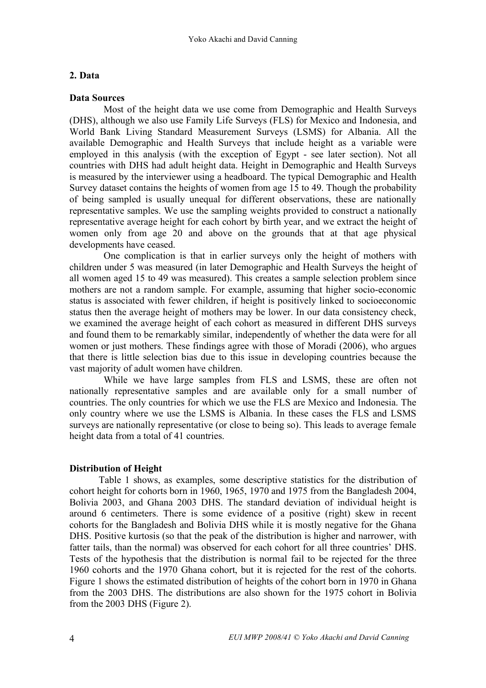## **2. Data**

### **Data Sources**

Most of the height data we use come from Demographic and Health Surveys (DHS), although we also use Family Life Surveys (FLS) for Mexico and Indonesia, and World Bank Living Standard Measurement Surveys (LSMS) for Albania. All the available Demographic and Health Surveys that include height as a variable were employed in this analysis (with the exception of Egypt - see later section). Not all countries with DHS had adult height data. Height in Demographic and Health Surveys is measured by the interviewer using a headboard. The typical Demographic and Health Survey dataset contains the heights of women from age 15 to 49. Though the probability of being sampled is usually unequal for different observations, these are nationally representative samples. We use the sampling weights provided to construct a nationally representative average height for each cohort by birth year, and we extract the height of women only from age 20 and above on the grounds that at that age physical developments have ceased.

One complication is that in earlier surveys only the height of mothers with children under 5 was measured (in later Demographic and Health Surveys the height of all women aged 15 to 49 was measured). This creates a sample selection problem since mothers are not a random sample. For example, assuming that higher socio-economic status is associated with fewer children, if height is positively linked to socioeconomic status then the average height of mothers may be lower. In our data consistency check, we examined the average height of each cohort as measured in different DHS surveys and found them to be remarkably similar, independently of whether the data were for all women or just mothers. These findings agree with those of Moradi (2006), who argues that there is little selection bias due to this issue in developing countries because the vast majority of adult women have children.

While we have large samples from FLS and LSMS, these are often not nationally representative samples and are available only for a small number of countries. The only countries for which we use the FLS are Mexico and Indonesia. The only country where we use the LSMS is Albania. In these cases the FLS and LSMS surveys are nationally representative (or close to being so). This leads to average female height data from a total of 41 countries.

# **Distribution of Height**

Table 1 shows, as examples, some descriptive statistics for the distribution of cohort height for cohorts born in 1960, 1965, 1970 and 1975 from the Bangladesh 2004, Bolivia 2003, and Ghana 2003 DHS. The standard deviation of individual height is around 6 centimeters. There is some evidence of a positive (right) skew in recent cohorts for the Bangladesh and Bolivia DHS while it is mostly negative for the Ghana DHS. Positive kurtosis (so that the peak of the distribution is higher and narrower, with fatter tails, than the normal) was observed for each cohort for all three countries' DHS. Tests of the hypothesis that the distribution is normal fail to be rejected for the three 1960 cohorts and the 1970 Ghana cohort, but it is rejected for the rest of the cohorts. Figure 1 shows the estimated distribution of heights of the cohort born in 1970 in Ghana from the 2003 DHS. The distributions are also shown for the 1975 cohort in Bolivia from the 2003 DHS (Figure 2).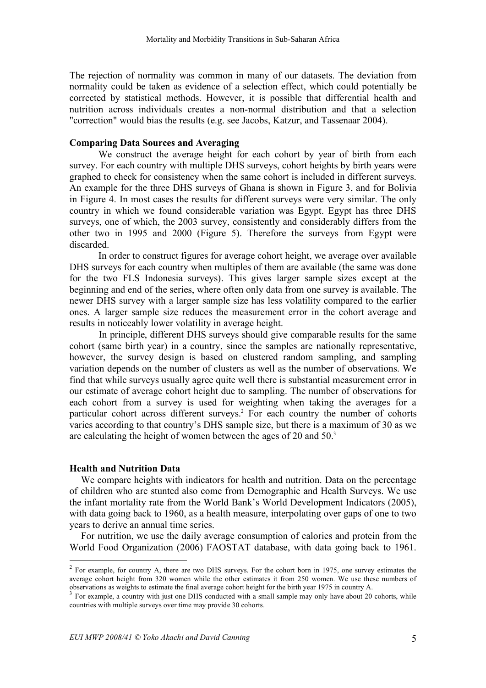The rejection of normality was common in many of our datasets. The deviation from normality could be taken as evidence of a selection effect, which could potentially be corrected by statistical methods. However, it is possible that differential health and nutrition across individuals creates a non-normal distribution and that a selection "correction" would bias the results (e.g. see Jacobs, Katzur, and Tassenaar 2004).

#### **Comparing Data Sources and Averaging**

We construct the average height for each cohort by year of birth from each survey. For each country with multiple DHS surveys, cohort heights by birth years were graphed to check for consistency when the same cohort is included in different surveys. An example for the three DHS surveys of Ghana is shown in Figure 3, and for Bolivia in Figure 4. In most cases the results for different surveys were very similar. The only country in which we found considerable variation was Egypt. Egypt has three DHS surveys, one of which, the 2003 survey, consistently and considerably differs from the other two in 1995 and 2000 (Figure 5). Therefore the surveys from Egypt were discarded.

In order to construct figures for average cohort height, we average over available DHS surveys for each country when multiples of them are available (the same was done for the two FLS Indonesia surveys). This gives larger sample sizes except at the beginning and end of the series, where often only data from one survey is available. The newer DHS survey with a larger sample size has less volatility compared to the earlier ones. A larger sample size reduces the measurement error in the cohort average and results in noticeably lower volatility in average height.

In principle, different DHS surveys should give comparable results for the same cohort (same birth year) in a country, since the samples are nationally representative, however, the survey design is based on clustered random sampling, and sampling variation depends on the number of clusters as well as the number of observations. We find that while surveys usually agree quite well there is substantial measurement error in our estimate of average cohort height due to sampling. The number of observations for each cohort from a survey is used for weighting when taking the averages for a particular cohort across different surveys. <sup>2</sup> For each country the number of cohorts varies according to that country's DHS sample size, but there is a maximum of 30 as we are calculating the height of women between the ages of 20 and 50.<sup>3</sup>

#### **Health and Nutrition Data**

We compare heights with indicators for health and nutrition. Data on the percentage of children who are stunted also come from Demographic and Health Surveys. We use the infant mortality rate from the World Bank's World Development Indicators (2005), with data going back to 1960, as a health measure, interpolating over gaps of one to two years to derive an annual time series.

For nutrition, we use the daily average consumption of calories and protein from the World Food Organization (2006) FAOSTAT database, with data going back to 1961.

<sup>&</sup>lt;sup>2</sup> For example, for country A, there are two DHS surveys. For the cohort born in 1975, one survey estimates the average cohort height from 320 women while the other estimates it from 250 women. We use these numbers of observations as weights to estimate the final average cohort height for the birth year <sup>1975</sup> in country A. <sup>3</sup> For example, <sup>a</sup> country with just one DHS conducted with <sup>a</sup> small sample may only have about <sup>20</sup> cohorts, while

countries with multiple surveys over time may provide 30 cohorts.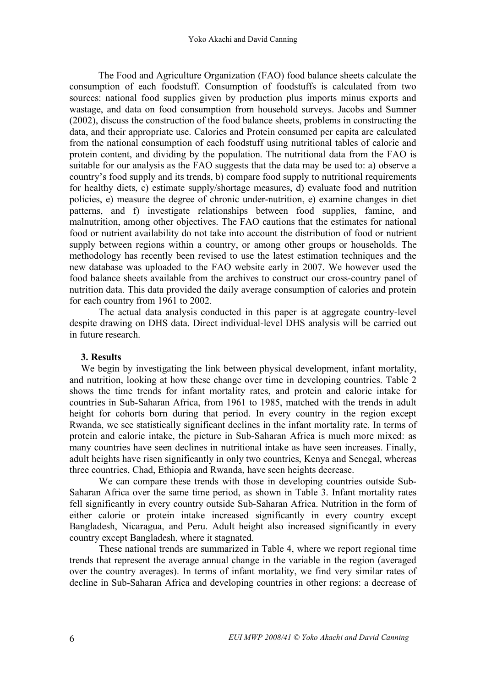The Food and Agriculture Organization (FAO) food balance sheets calculate the consumption of each foodstuff. Consumption of foodstuffs is calculated from two sources: national food supplies given by production plus imports minus exports and wastage, and data on food consumption from household surveys. Jacobs and Sumner (2002), discuss the construction of the food balance sheets, problems in constructing the data, and their appropriate use. Calories and Protein consumed per capita are calculated from the national consumption of each foodstuff using nutritional tables of calorie and protein content, and dividing by the population. The nutritional data from the FAO is suitable for our analysis as the FAO suggests that the data may be used to: a) observe a country's food supply and its trends, b) compare food supply to nutritional requirements for healthy diets, c) estimate supply/shortage measures, d) evaluate food and nutrition policies, e) measure the degree of chronic under-nutrition, e) examine changes in diet patterns, and f) investigate relationships between food supplies, famine, and malnutrition, among other objectives. The FAO cautions that the estimates for national food or nutrient availability do not take into account the distribution of food or nutrient supply between regions within a country, or among other groups or households. The methodology has recently been revised to use the latest estimation techniques and the new database was uploaded to the FAO website early in 2007. We however used the food balance sheets available from the archives to construct our cross-country panel of nutrition data. This data provided the daily average consumption of calories and protein for each country from 1961 to 2002.

The actual data analysis conducted in this paper is at aggregate country-level despite drawing on DHS data. Direct individual-level DHS analysis will be carried out in future research.

### **3. Results**

We begin by investigating the link between physical development, infant mortality, and nutrition, looking at how these change over time in developing countries. Table 2 shows the time trends for infant mortality rates, and protein and calorie intake for countries in Sub-Saharan Africa, from 1961 to 1985, matched with the trends in adult height for cohorts born during that period. In every country in the region except Rwanda, we see statistically significant declines in the infant mortality rate. In terms of protein and calorie intake, the picture in Sub-Saharan Africa is much more mixed: as many countries have seen declines in nutritional intake as have seen increases. Finally, adult heights have risen significantly in only two countries, Kenya and Senegal, whereas three countries, Chad, Ethiopia and Rwanda, have seen heights decrease.

We can compare these trends with those in developing countries outside Sub-Saharan Africa over the same time period, as shown in Table 3. Infant mortality rates fell significantly in every country outside Sub-Saharan Africa. Nutrition in the form of either calorie or protein intake increased significantly in every country except Bangladesh, Nicaragua, and Peru. Adult height also increased significantly in every country except Bangladesh, where it stagnated.

These national trends are summarized in Table 4, where we report regional time trends that represent the average annual change in the variable in the region (averaged over the country averages). In terms of infant mortality, we find very similar rates of decline in Sub-Saharan Africa and developing countries in other regions: a decrease of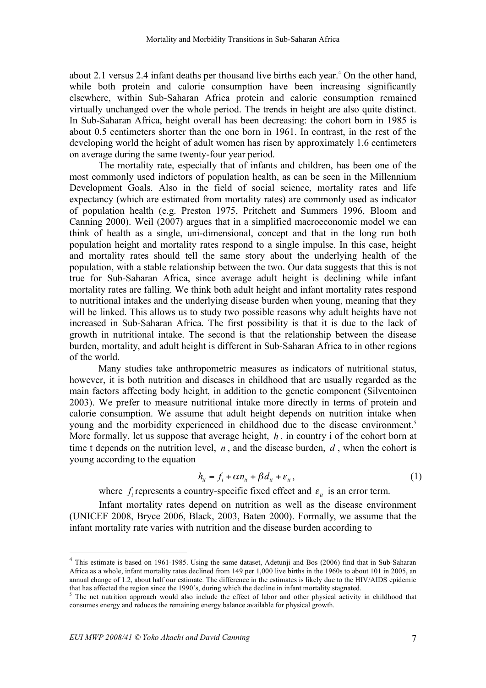about 2.1 versus 2.4 infant deaths per thousand live births each year. <sup>4</sup> On the other hand, while both protein and calorie consumption have been increasing significantly elsewhere, within Sub-Saharan Africa protein and calorie consumption remained virtually unchanged over the whole period. The trends in height are also quite distinct. In Sub-Saharan Africa, height overall has been decreasing: the cohort born in 1985 is about 0.5 centimeters shorter than the one born in 1961. In contrast, in the rest of the developing world the height of adult women has risen by approximately 1.6 centimeters on average during the same twenty-four year period.

The mortality rate, especially that of infants and children, has been one of the most commonly used indictors of population health, as can be seen in the Millennium Development Goals. Also in the field of social science, mortality rates and life expectancy (which are estimated from mortality rates) are commonly used as indicator of population health (e.g. Preston 1975, Pritchett and Summers 1996, Bloom and Canning 2000). Weil (2007) argues that in a simplified macroeconomic model we can think of health as a single, uni-dimensional, concept and that in the long run both population height and mortality rates respond to a single impulse. In this case, height and mortality rates should tell the same story about the underlying health of the population, with a stable relationship between the two. Our data suggests that this is not true for Sub-Saharan Africa, since average adult height is declining while infant mortality rates are falling. We think both adult height and infant mortality rates respond to nutritional intakes and the underlying disease burden when young, meaning that they will be linked. This allows us to study two possible reasons why adult heights have not increased in Sub-Saharan Africa. The first possibility is that it is due to the lack of growth in nutritional intake. The second is that the relationship between the disease burden, mortality, and adult height is different in Sub-Saharan Africa to in other regions of the world.

Many studies take anthropometric measures as indicators of nutritional status, however, it is both nutrition and diseases in childhood that are usually regarded as the main factors affecting body height, in addition to the genetic component (Silventoinen 2003). We prefer to measure nutritional intake more directly in terms of protein and calorie consumption. We assume that adult height depends on nutrition intake when young and the morbidity experienced in childhood due to the disease environment. 5 More formally, let us suppose that average height, *h* , in country i of the cohort born at time t depends on the nutrition level,  $n$ , and the disease burden,  $d$ , when the cohort is young according to the equation

$$
h_{ii} = f_i + \alpha n_{ii} + \beta d_{ii} + \varepsilon_{ii}, \qquad (1)
$$

where  $f_i$  represents a country-specific fixed effect and  $\varepsilon_{it}$  is an error term.

Infant mortality rates depend on nutrition as well as the disease environment (UNICEF 2008, Bryce 2006, Black, 2003, Baten 2000). Formally, we assume that the infant mortality rate varies with nutrition and the disease burden according to

<sup>&</sup>lt;sup>4</sup> This estimate is based on 1961-1985. Using the same dataset, Adetunji and Bos (2006) find that in Sub-Saharan Africa as a whole, infant mortality rates declined from 149 per 1,000 live births in the 1960s to about 101 in 2005, an annual change of 1.2, about half our estimate. The difference in the estimates is likely due to the HIV/AIDS epidemic that has affected the region since the 1990's, during which the decline in infant mortality stagnated.

<sup>&</sup>lt;sup>5</sup> The net nutrition approach would also include the effect of labor and other physical activity in childhood that consumes energy and reduces the remaining energy balance available for physical growth.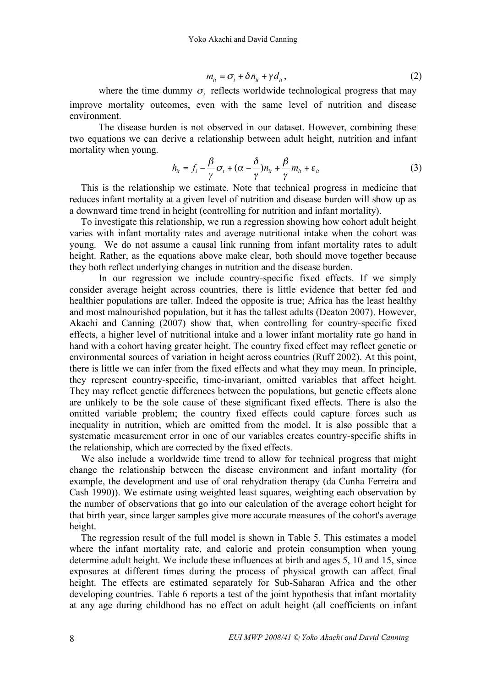$$
m_{it} = \sigma_t + \delta n_{it} + \gamma d_{it}, \qquad (2)
$$

where the time dummy  $\sigma_t$  reflects worldwide technological progress that may improve mortality outcomes, even with the same level of nutrition and disease environment.

The disease burden is not observed in our dataset. However, combining these two equations we can derive a relationship between adult height, nutrition and infant mortality when young.

$$
h_{it} = f_i - \frac{\beta}{\gamma} \sigma_t + (\alpha - \frac{\delta}{\gamma}) n_{it} + \frac{\beta}{\gamma} m_{it} + \varepsilon_{it}
$$
 (3)

This is the relationship we estimate. Note that technical progress in medicine that reduces infant mortality at a given level of nutrition and disease burden will show up as a downward time trend in height (controlling for nutrition and infant mortality).

To investigate this relationship, we run a regression showing how cohort adult height varies with infant mortality rates and average nutritional intake when the cohort was young. We do not assume a causal link running from infant mortality rates to adult height. Rather, as the equations above make clear, both should move together because they both reflect underlying changes in nutrition and the disease burden.

In our regression we include country-specific fixed effects. If we simply consider average height across countries, there is little evidence that better fed and healthier populations are taller. Indeed the opposite is true; Africa has the least healthy and most malnourished population, but it has the tallest adults (Deaton 2007). However, Akachi and Canning (2007) show that, when controlling for country-specific fixed effects, a higher level of nutritional intake and a lower infant mortality rate go hand in hand with a cohort having greater height. The country fixed effect may reflect genetic or environmental sources of variation in height across countries (Ruff 2002). At this point, there is little we can infer from the fixed effects and what they may mean. In principle, they represent country-specific, time-invariant, omitted variables that affect height. They may reflect genetic differences between the populations, but genetic effects alone are unlikely to be the sole cause of these significant fixed effects. There is also the omitted variable problem; the country fixed effects could capture forces such as inequality in nutrition, which are omitted from the model. It is also possible that a systematic measurement error in one of our variables creates country-specific shifts in the relationship, which are corrected by the fixed effects.

We also include a worldwide time trend to allow for technical progress that might change the relationship between the disease environment and infant mortality (for example, the development and use of oral rehydration therapy (da Cunha Ferreira and Cash 1990)). We estimate using weighted least squares, weighting each observation by the number of observations that go into our calculation of the average cohort height for that birth year, since larger samples give more accurate measures of the cohort's average height.

The regression result of the full model is shown in Table 5. This estimates a model where the infant mortality rate, and calorie and protein consumption when young determine adult height. We include these influences at birth and ages 5, 10 and 15, since exposures at different times during the process of physical growth can affect final height. The effects are estimated separately for Sub-Saharan Africa and the other developing countries. Table 6 reports a test of the joint hypothesis that infant mortality at any age during childhood has no effect on adult height (all coefficients on infant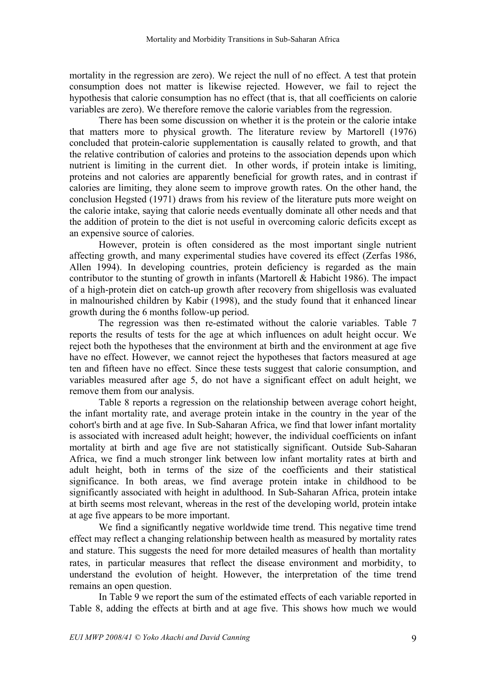mortality in the regression are zero). We reject the null of no effect. A test that protein consumption does not matter is likewise rejected. However, we fail to reject the hypothesis that calorie consumption has no effect (that is, that all coefficients on calorie variables are zero). We therefore remove the calorie variables from the regression.

There has been some discussion on whether it is the protein or the calorie intake that matters more to physical growth. The literature review by Martorell (1976) concluded that protein-calorie supplementation is causally related to growth, and that the relative contribution of calories and proteins to the association depends upon which nutrient is limiting in the current diet. In other words, if protein intake is limiting, proteins and not calories are apparently beneficial for growth rates, and in contrast if calories are limiting, they alone seem to improve growth rates. On the other hand, the conclusion Hegsted (1971) draws from his review of the literature puts more weight on the calorie intake, saying that calorie needs eventually dominate all other needs and that the addition of protein to the diet is not useful in overcoming caloric deficits except as an expensive source of calories.

However, protein is often considered as the most important single nutrient affecting growth, and many experimental studies have covered its effect (Zerfas 1986, Allen 1994). In developing countries, protein deficiency is regarded as the main contributor to the stunting of growth in infants (Martorell  $&$  Habicht 1986). The impact of a high-protein diet on catch-up growth after recovery from shigellosis was evaluated in malnourished children by Kabir (1998), and the study found that it enhanced linear growth during the 6 months follow-up period.

The regression was then re-estimated without the calorie variables. Table 7 reports the results of tests for the age at which influences on adult height occur. We reject both the hypotheses that the environment at birth and the environment at age five have no effect. However, we cannot reject the hypotheses that factors measured at age ten and fifteen have no effect. Since these tests suggest that calorie consumption, and variables measured after age 5, do not have a significant effect on adult height, we remove them from our analysis.

Table 8 reports a regression on the relationship between average cohort height, the infant mortality rate, and average protein intake in the country in the year of the cohort's birth and at age five. In Sub-Saharan Africa, we find that lower infant mortality is associated with increased adult height; however, the individual coefficients on infant mortality at birth and age five are not statistically significant. Outside Sub-Saharan Africa, we find a much stronger link between low infant mortality rates at birth and adult height, both in terms of the size of the coefficients and their statistical significance. In both areas, we find average protein intake in childhood to be significantly associated with height in adulthood. In Sub-Saharan Africa, protein intake at birth seems most relevant, whereas in the rest of the developing world, protein intake at age five appears to be more important.

We find a significantly negative worldwide time trend. This negative time trend effect may reflect a changing relationship between health as measured by mortality rates and stature. This suggests the need for more detailed measures of health than mortality rates, in particular measures that reflect the disease environment and morbidity, to understand the evolution of height. However, the interpretation of the time trend remains an open question.

In Table 9 we report the sum of the estimated effects of each variable reported in Table 8, adding the effects at birth and at age five. This shows how much we would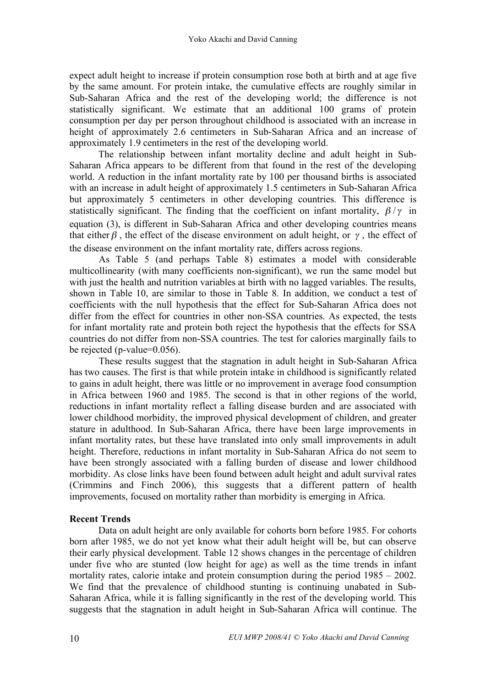expect adult height to increase if protein consumption rose both at birth and at age five by the same amount. For protein intake, the cumulative effects are roughly similar in Sub-Saharan Africa and the rest of the developing world; the difference is not statistically significant. We estimate that an additional 100 grams of protein consumption per day per person throughout childhood is associated with an increase in height of approximately 2.6 centimeters in Sub-Saharan Africa and an increase of approximately 1.9 centimeters in the rest of the developing world.

The relationship between infant mortality decline and adult height in Sub-Saharan Africa appears to be different from that found in the rest of the developing world. A reduction in the infant mortality rate by 100 per thousand births is associated with an increase in adult height of approximately 1.5 centimeters in Sub-Saharan Africa but approximately 5 centimeters in other developing countries. This difference is statistically significant. The finding that the coefficient on infant mortality,  $\beta/\gamma$  in equation (3), is different in Sub-Saharan Africa and other developing countries means that either  $\beta$ , the effect of the disease environment on adult height, or  $\gamma$ , the effect of the disease environment on the infant mortality rate, differs across regions.

As Table 5 (and perhaps Table 8) estimates a model with considerable multicollinearity (with many coefficients non-significant), we run the same model but with just the health and nutrition variables at birth with no lagged variables. The results, shown in Table 10, are similar to those in Table 8. In addition, we conduct a test of coefficients with the null hypothesis that the effect for Sub-Saharan Africa does not differ from the effect for countries in other non-SSA countries. As expected, the tests for infant mortality rate and protein both reject the hypothesis that the effects for SSA countries do not differ from non-SSA countries. The test for calories marginally fails to be rejected (p-value=0.056).

These results suggest that the stagnation in adult height in Sub-Saharan Africa has two causes. The first is that while protein intake in childhood is significantly related to gains in adult height, there was little or no improvement in average food consumption in Africa between 1960 and 1985. The second is that in other regions of the world, reductions in infant mortality reflect a falling disease burden and are associated with lower childhood morbidity, the improved physical development of children, and greater stature in adulthood. In Sub-Saharan Africa, there have been large improvements in infant mortality rates, but these have translated into only small improvements in adult height. Therefore, reductions in infant mortality in Sub-Saharan Africa do not seem to have been strongly associated with a falling burden of disease and lower childhood morbidity. As close links have been found between adult height and adult survival rates (Crimmins and Finch 2006), this suggests that a different pattern of health improvements, focused on mortality rather than morbidity is emerging in Africa.

### **Recent Trends**

Data on adult height are only available for cohorts born before 1985. For cohorts born after 1985, we do not yet know what their adult height will be, but can observe their early physical development. Table 12 shows changes in the percentage of children under five who are stunted (low height for age) as well as the time trends in infant mortality rates, calorie intake and protein consumption during the period 1985 – 2002. We find that the prevalence of childhood stunting is continuing unabated in Sub-Saharan Africa, while it is falling significantly in the rest of the developing world. This suggests that the stagnation in adult height in Sub-Saharan Africa will continue. The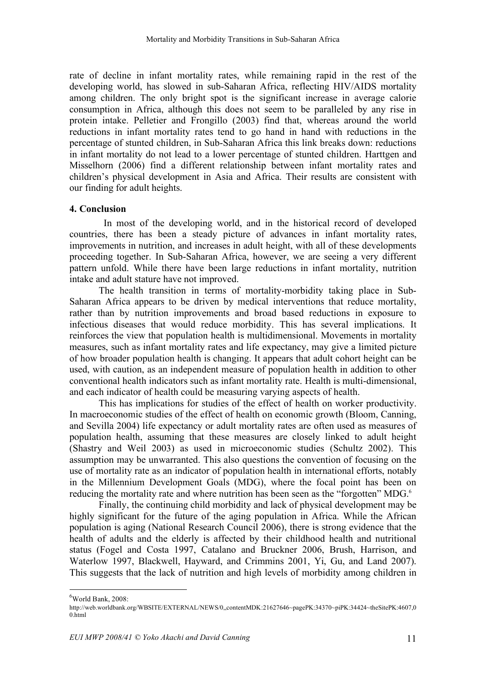rate of decline in infant mortality rates, while remaining rapid in the rest of the developing world, has slowed in sub-Saharan Africa, reflecting HIV/AIDS mortality among children. The only bright spot is the significant increase in average calorie consumption in Africa, although this does not seem to be paralleled by any rise in protein intake. Pelletier and Frongillo (2003) find that, whereas around the world reductions in infant mortality rates tend to go hand in hand with reductions in the percentage of stunted children, in Sub-Saharan Africa this link breaks down: reductions in infant mortality do not lead to a lower percentage of stunted children. Harttgen and Misselhorn (2006) find a different relationship between infant mortality rates and children's physical development in Asia and Africa. Their results are consistent with our finding for adult heights.

#### **4. Conclusion**

In most of the developing world, and in the historical record of developed countries, there has been a steady picture of advances in infant mortality rates, improvements in nutrition, and increases in adult height, with all of these developments proceeding together. In Sub-Saharan Africa, however, we are seeing a very different pattern unfold. While there have been large reductions in infant mortality, nutrition intake and adult stature have not improved.

The health transition in terms of mortality-morbidity taking place in Sub-Saharan Africa appears to be driven by medical interventions that reduce mortality, rather than by nutrition improvements and broad based reductions in exposure to infectious diseases that would reduce morbidity. This has several implications. It reinforces the view that population health is multidimensional. Movements in mortality measures, such as infant mortality rates and life expectancy, may give a limited picture of how broader population health is changing. It appears that adult cohort height can be used, with caution, as an independent measure of population health in addition to other conventional health indicators such as infant mortality rate. Health is multi-dimensional, and each indicator of health could be measuring varying aspects of health.

This has implications for studies of the effect of health on worker productivity. In macroeconomic studies of the effect of health on economic growth (Bloom, Canning, and Sevilla 2004) life expectancy or adult mortality rates are often used as measures of population health, assuming that these measures are closely linked to adult height (Shastry and Weil 2003) as used in microeconomic studies (Schultz 2002). This assumption may be unwarranted. This also questions the convention of focusing on the use of mortality rate as an indicator of population health in international efforts, notably in the Millennium Development Goals (MDG), where the focal point has been on reducing the mortality rate and where nutrition has been seen as the "forgotten" MDG.<sup>6</sup>

Finally, the continuing child morbidity and lack of physical development may be highly significant for the future of the aging population in Africa. While the African population is aging (National Research Council 2006), there is strong evidence that the health of adults and the elderly is affected by their childhood health and nutritional status (Fogel and Costa 1997, Catalano and Bruckner 2006, Brush, Harrison, and Waterlow 1997, Blackwell, Hayward, and Crimmins 2001, Yi, Gu, and Land 2007). This suggests that the lack of nutrition and high levels of morbidity among children in

 $\frac{1}{6}$  $6$ World Bank, 2008:

http://web.worldbank.org/WBSITE/EXTERNAL/NEWS/0,,contentMDK:21627646~pagePK:34370~piPK:34424~theSitePK:4607,0 0.html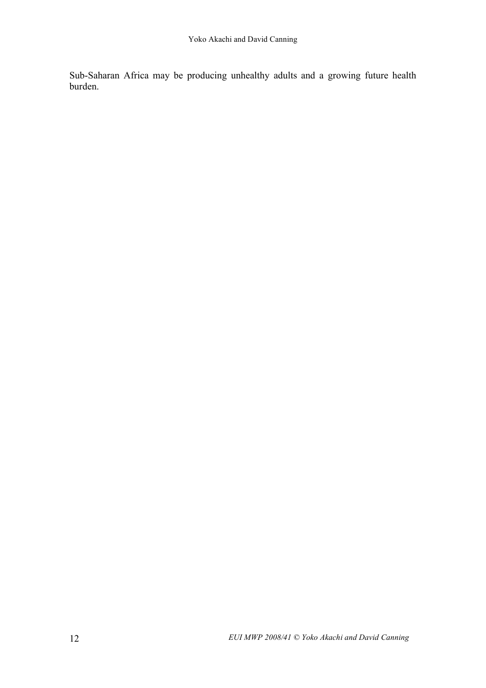Sub-Saharan Africa may be producing unhealthy adults and a growing future health burden.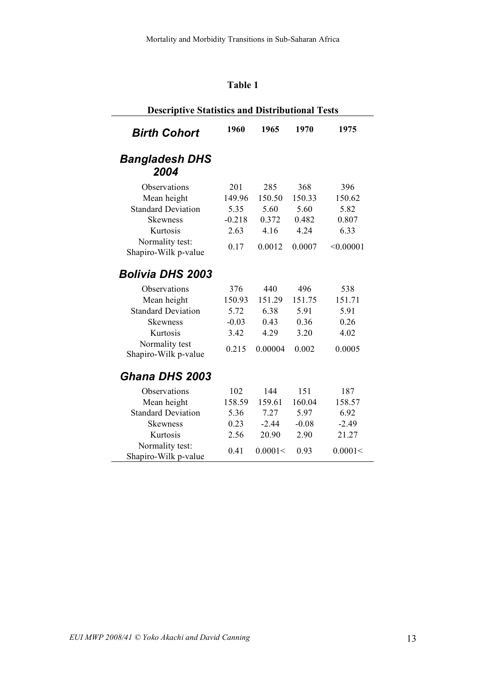# **Table 1**

| <b>Descriptive Statistics and Distributional Tests</b> |          |         |         |           |
|--------------------------------------------------------|----------|---------|---------|-----------|
| <b>Birth Cohort</b>                                    | 1960     | 1965    | 1970    | 1975      |
| <b>Bangladesh DHS</b><br>2004                          |          |         |         |           |
| Observations                                           | 201      | 285     | 368     | 396       |
| Mean height                                            | 149.96   | 150.50  | 150.33  | 150.62    |
| <b>Standard Deviation</b>                              | 5.35     | 5.60    | 5.60    | 5.82      |
| <b>Skewness</b>                                        | $-0.218$ | 0.372   | 0.482   | 0.807     |
| Kurtosis                                               | 2.63     | 4.16    | 4.24    | 6.33      |
| Normality test:<br>Shapiro-Wilk p-value                | 0.17     | 0.0012  | 0.0007  | < 0.00001 |
| <b>Bolivia DHS 2003</b>                                |          |         |         |           |
| Observations                                           | 376      | 440     | 496     | 538       |
| Mean height                                            | 150.93   | 151.29  | 151.75  | 151.71    |
| <b>Standard Deviation</b>                              | 5.72     | 6.38    | 5.91    | 5.91      |
| Skewness                                               | $-0.03$  | 0.43    | 0.36    | 0.26      |
| Kurtosis                                               | 3.42     | 4.29    | 3.20    | 4.02      |
| Normality test<br>Shapiro-Wilk p-value                 | 0.215    | 0.00004 | 0.002   | 0.0005    |
| Ghana DHS 2003                                         |          |         |         |           |
| Observations                                           | 102      | 144     | 151     | 187       |
| Mean height                                            | 158.59   | 159.61  | 160.04  | 158.57    |
| <b>Standard Deviation</b>                              | 5.36     | 7.27    | 5.97    | 6.92      |
| Skewness                                               | 0.23     | $-2.44$ | $-0.08$ | $-2.49$   |
| Kurtosis                                               | 2.56     | 20.90   | 2.90    | 21.27     |
| Normality test:<br>Shapiro-Wilk p-value                | 0.41     | 0.0001< | 0.93    | 0.0001<   |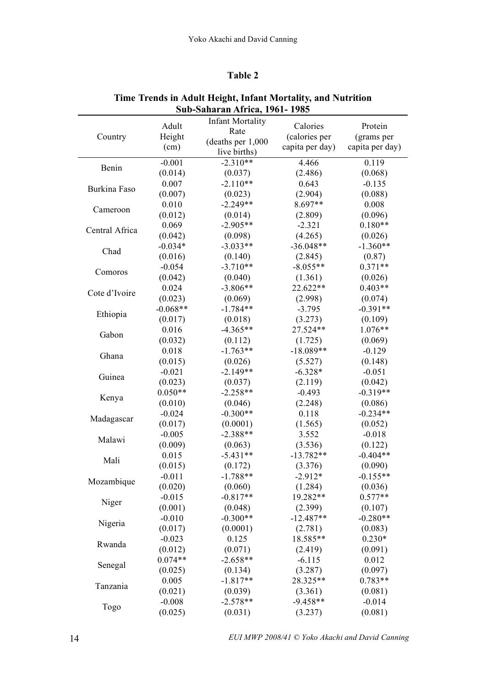#### **Table 2**

|                |            | 500-541141 411 АН КА, 1701- 1703 |                 |                 |
|----------------|------------|----------------------------------|-----------------|-----------------|
|                | Adult      | <b>Infant Mortality</b>          | Calories        | Protein         |
| Country        | Height     | Rate                             | (calories per   | (grams per      |
|                | (cm)       | (deaths per 1,000                | capita per day) | capita per day) |
|                |            | live births)                     |                 |                 |
| Benin          | $-0.001$   | $-2.310**$                       | 4.466           | 0.119           |
|                | (0.014)    | (0.037)                          | (2.486)         | (0.068)         |
| Burkina Faso   | 0.007      | $-2.110**$                       | 0.643           | $-0.135$        |
|                | (0.007)    | (0.023)                          | (2.904)         | (0.088)         |
| Cameroon       | 0.010      | $-2.249**$                       | 8.697**         | 0.008           |
|                | (0.012)    | (0.014)                          | (2.809)         | (0.096)         |
| Central Africa | 0.069      | $-2.905**$                       | $-2.321$        | $0.180**$       |
|                | (0.042)    | (0.098)                          | (4.265)         | (0.026)         |
| Chad           | $-0.034*$  | $-3.033**$                       | $-36.048**$     | $-1.360**$      |
|                | (0.016)    | (0.140)                          | (2.845)         | (0.87)          |
| Comoros        | $-0.054$   | $-3.710**$                       | $-8.055**$      | $0.371**$       |
|                | (0.042)    | (0.040)                          | (1.361)         | (0.026)         |
| Cote d'Ivoire  | 0.024      | $-3.806**$                       | 22.622**        | $0.403**$       |
|                | (0.023)    | (0.069)                          | (2.998)         | (0.074)         |
| Ethiopia       | $-0.068**$ | $-1.784**$                       | $-3.795$        | $-0.391**$      |
|                | (0.017)    | (0.018)                          | (3.273)         | (0.109)         |
| Gabon          | 0.016      | $-4.365**$                       | 27.524**        | $1.076**$       |
|                | (0.032)    | (0.112)                          | (1.725)         | (0.069)         |
|                | 0.018      | $-1.763**$                       | $-18.089**$     | $-0.129$        |
| Ghana          | (0.015)    | (0.026)                          | (5.527)         | (0.148)         |
|                | $-0.021$   | $-2.149**$                       | $-6.328*$       | $-0.051$        |
| Guinea         | (0.023)    | (0.037)                          | (2.119)         | (0.042)         |
|                | $0.050**$  | $-2.258**$                       | $-0.493$        | $-0.319**$      |
| Kenya          | (0.010)    | (0.046)                          | (2.248)         | (0.086)         |
|                | $-0.024$   | $-0.300**$                       | 0.118           | $-0.234**$      |
| Madagascar     | (0.017)    | (0.0001)                         | (1.565)         | (0.052)         |
|                | $-0.005$   | $-2.388**$                       | 3.552           | $-0.018$        |
| Malawi         | (0.009)    | (0.063)                          | (3.536)         | (0.122)         |
|                | 0.015      | $-5.431**$                       | $-13.782**$     | $-0.404**$      |
| Mali           | (0.015)    | (0.172)                          | (3.376)         | (0.090)         |
|                | $-0.011$   | $-1.788**$                       | $-2.912*$       | $-0.155**$      |
| Mozambique     | (0.020)    | (0.060)                          | (1.284)         | (0.036)         |
|                | $-0.015$   | $-0.817**$                       | 19.282**        | $0.577**$       |
| Niger          | (0.001)    | (0.048)                          | (2.399)         | (0.107)         |
|                | $-0.010$   | $-0.300**$                       | $-12.487**$     | $-0.280**$      |
| Nigeria        | (0.017)    | (0.0001)                         | (2.781)         | (0.083)         |
|                | $-0.023$   | 0.125                            | 18.585**        | $0.230*$        |
| Rwanda         | (0.012)    | (0.071)                          | (2.419)         | (0.091)         |
|                | $0.074**$  | $-2.658**$                       | $-6.115$        | 0.012           |
| Senegal        | (0.025)    | (0.134)                          | (3.287)         | (0.097)         |
|                | 0.005      | $-1.817**$                       | 28.325**        | $0.783**$       |
| Tanzania       | (0.021)    | (0.039)                          | (3.361)         | (0.081)         |
|                | $-0.008$   | $-2.578**$                       | $-9.458**$      | $-0.014$        |
| Togo           | (0.025)    | (0.031)                          | (3.237)         | (0.081)         |
|                |            |                                  |                 |                 |

### **Time Trends in Adult Height, Infant Mortality, and Nutrition Sub-Saharan Africa, 1961- 1985**

14 *EUI MWP 2008/41 © Yoko Akachi and David Canning*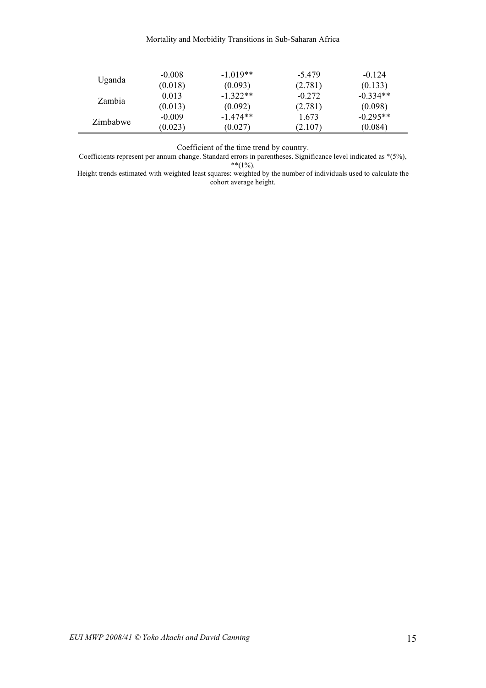#### Mortality and Morbidity Transitions in Sub-Saharan Africa

| Uganda   | $-0.008$ | $-1.019**$ | $-5.479$ | $-0.124$   |
|----------|----------|------------|----------|------------|
|          | (0.018)  | (0.093)    | (2.781)  | (0.133)    |
| Zambia   | 0.013    | $-1.322**$ | $-0.272$ | $-0.334**$ |
|          | (0.013)  | (0.092)    | (2.781)  | (0.098)    |
|          | $-0.009$ | $-1.474**$ | 1.673    | $-0.295**$ |
| Zimbabwe | (0.023)  | (0.027)    | (2.107)  | (0.084)    |

Coefficient of the time trend by country.

L.

Coefficients represent per annum change. Standard errors in parentheses. Significance level indicated as \*(5%),  $**$ (1%).

Height trends estimated with weighted least squares: weighted by the number of individuals used to calculate the cohort average height.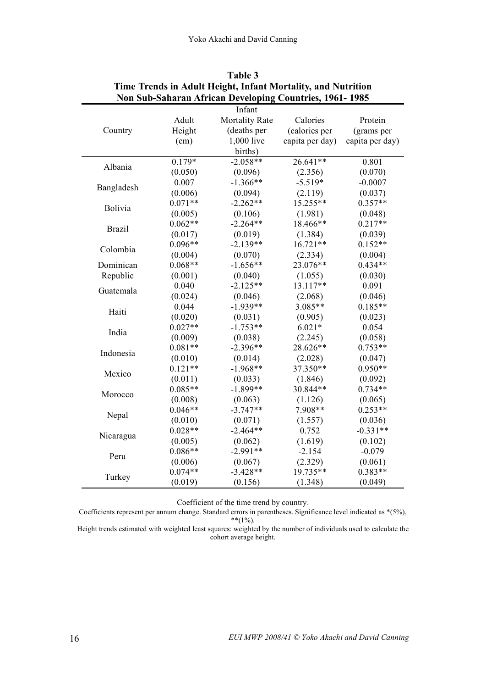| Infant<br><b>Mortality Rate</b><br>Calories<br>Adult<br>Protein<br>(deaths per<br>Country<br>Height<br>(calories per<br>(grams per<br>(cm)<br>1,000 live<br>capita per day)<br>capita per day)<br>births)<br>$-2.058**$<br>26.641**<br>0.801<br>$0.179*$<br>Albania<br>(0.050)<br>(0.096)<br>(0.070)<br>(2.356)<br>$-1.366**$<br>0.007<br>$-5.519*$<br>$-0.0007$<br>Bangladesh<br>(0.006)<br>(0.037)<br>(0.094)<br>(2.119)<br>$0.071**$<br>$-2.262**$<br>15.255**<br>$0.357**$<br>Bolivia<br>(1.981)<br>(0.048)<br>(0.005)<br>(0.106)<br>$0.062**$<br>$0.217**$<br>$-2.264**$<br>18.466**<br><b>Brazil</b><br>(0.017)<br>(1.384)<br>(0.039)<br>(0.019)<br>$-2.139**$<br>$16.721**$<br>$0.152**$<br>$0.096**$<br>Colombia<br>(0.004)<br>(0.070)<br>(2.334)<br>(0.004)<br>$0.068**$<br>$-1.656**$<br>23.076**<br>$0.434**$<br>Dominican<br>Republic<br>(0.030)<br>(0.001)<br>(0.040)<br>(1.055)<br>13.117**<br>$-2.125**$<br>0.091<br>0.040<br>Guatemala<br>(0.046)<br>(0.024)<br>(0.046)<br>(2.068)<br>$-1.939**$<br>$3.085**$<br>$0.185**$<br>0.044<br>Haiti<br>(0.020)<br>(0.031)<br>(0.905)<br>(0.023)<br>$0.027**$<br>$-1.753**$<br>$6.021*$<br>0.054<br>India<br>(2.245)<br>(0.058)<br>(0.009)<br>(0.038)<br>$0.081**$<br>$0.753**$<br>$-2.396**$<br>28.626**<br>Indonesia<br>(0.010)<br>(0.014)<br>(2.028)<br>(0.047)<br>$0.121**$<br>$-1.968**$<br>37.350**<br>$0.950**$<br>Mexico<br>(0.033)<br>(1.846)<br>(0.092)<br>(0.011)<br>$0.085**$<br>$-1.899**$<br>30.844**<br>$0.734**$<br>Morocco<br>(0.065)<br>(0.008)<br>(0.063)<br>(1.126)<br>$0.046**$<br>7.908**<br>$0.253**$<br>$-3.747**$<br>Nepal<br>(0.010)<br>(0.071)<br>(1.557)<br>(0.036)<br>$0.028**$<br>$-2.464**$<br>0.752<br>$-0.331**$<br>Nicaragua<br>(1.619)<br>(0.005)<br>(0.062)<br>(0.102)<br>$0.086**$<br>$-2.991**$<br>$-2.154$<br>$-0.079$<br>Peru<br>(0.067)<br>(2.329)<br>(0.061)<br>(0.006)<br>$0.074**$<br>19.735**<br>$0.383**$<br>$-3.428**$<br>Turkey<br>(0.019)<br>(0.156)<br>(1.348)<br>(0.049) | ivon Sub-Sanaran African Developing Countries, 1901-1965 |  |  |  |  |
|-------------------------------------------------------------------------------------------------------------------------------------------------------------------------------------------------------------------------------------------------------------------------------------------------------------------------------------------------------------------------------------------------------------------------------------------------------------------------------------------------------------------------------------------------------------------------------------------------------------------------------------------------------------------------------------------------------------------------------------------------------------------------------------------------------------------------------------------------------------------------------------------------------------------------------------------------------------------------------------------------------------------------------------------------------------------------------------------------------------------------------------------------------------------------------------------------------------------------------------------------------------------------------------------------------------------------------------------------------------------------------------------------------------------------------------------------------------------------------------------------------------------------------------------------------------------------------------------------------------------------------------------------------------------------------------------------------------------------------------------------------------------------------------------------------------------------------------------------------------------------------------------------------------------------------------------------------------------------------------|----------------------------------------------------------|--|--|--|--|
|                                                                                                                                                                                                                                                                                                                                                                                                                                                                                                                                                                                                                                                                                                                                                                                                                                                                                                                                                                                                                                                                                                                                                                                                                                                                                                                                                                                                                                                                                                                                                                                                                                                                                                                                                                                                                                                                                                                                                                                     |                                                          |  |  |  |  |
|                                                                                                                                                                                                                                                                                                                                                                                                                                                                                                                                                                                                                                                                                                                                                                                                                                                                                                                                                                                                                                                                                                                                                                                                                                                                                                                                                                                                                                                                                                                                                                                                                                                                                                                                                                                                                                                                                                                                                                                     |                                                          |  |  |  |  |
|                                                                                                                                                                                                                                                                                                                                                                                                                                                                                                                                                                                                                                                                                                                                                                                                                                                                                                                                                                                                                                                                                                                                                                                                                                                                                                                                                                                                                                                                                                                                                                                                                                                                                                                                                                                                                                                                                                                                                                                     |                                                          |  |  |  |  |
|                                                                                                                                                                                                                                                                                                                                                                                                                                                                                                                                                                                                                                                                                                                                                                                                                                                                                                                                                                                                                                                                                                                                                                                                                                                                                                                                                                                                                                                                                                                                                                                                                                                                                                                                                                                                                                                                                                                                                                                     |                                                          |  |  |  |  |
|                                                                                                                                                                                                                                                                                                                                                                                                                                                                                                                                                                                                                                                                                                                                                                                                                                                                                                                                                                                                                                                                                                                                                                                                                                                                                                                                                                                                                                                                                                                                                                                                                                                                                                                                                                                                                                                                                                                                                                                     |                                                          |  |  |  |  |
|                                                                                                                                                                                                                                                                                                                                                                                                                                                                                                                                                                                                                                                                                                                                                                                                                                                                                                                                                                                                                                                                                                                                                                                                                                                                                                                                                                                                                                                                                                                                                                                                                                                                                                                                                                                                                                                                                                                                                                                     |                                                          |  |  |  |  |
|                                                                                                                                                                                                                                                                                                                                                                                                                                                                                                                                                                                                                                                                                                                                                                                                                                                                                                                                                                                                                                                                                                                                                                                                                                                                                                                                                                                                                                                                                                                                                                                                                                                                                                                                                                                                                                                                                                                                                                                     |                                                          |  |  |  |  |
|                                                                                                                                                                                                                                                                                                                                                                                                                                                                                                                                                                                                                                                                                                                                                                                                                                                                                                                                                                                                                                                                                                                                                                                                                                                                                                                                                                                                                                                                                                                                                                                                                                                                                                                                                                                                                                                                                                                                                                                     |                                                          |  |  |  |  |
|                                                                                                                                                                                                                                                                                                                                                                                                                                                                                                                                                                                                                                                                                                                                                                                                                                                                                                                                                                                                                                                                                                                                                                                                                                                                                                                                                                                                                                                                                                                                                                                                                                                                                                                                                                                                                                                                                                                                                                                     |                                                          |  |  |  |  |
|                                                                                                                                                                                                                                                                                                                                                                                                                                                                                                                                                                                                                                                                                                                                                                                                                                                                                                                                                                                                                                                                                                                                                                                                                                                                                                                                                                                                                                                                                                                                                                                                                                                                                                                                                                                                                                                                                                                                                                                     |                                                          |  |  |  |  |
|                                                                                                                                                                                                                                                                                                                                                                                                                                                                                                                                                                                                                                                                                                                                                                                                                                                                                                                                                                                                                                                                                                                                                                                                                                                                                                                                                                                                                                                                                                                                                                                                                                                                                                                                                                                                                                                                                                                                                                                     |                                                          |  |  |  |  |
|                                                                                                                                                                                                                                                                                                                                                                                                                                                                                                                                                                                                                                                                                                                                                                                                                                                                                                                                                                                                                                                                                                                                                                                                                                                                                                                                                                                                                                                                                                                                                                                                                                                                                                                                                                                                                                                                                                                                                                                     |                                                          |  |  |  |  |
|                                                                                                                                                                                                                                                                                                                                                                                                                                                                                                                                                                                                                                                                                                                                                                                                                                                                                                                                                                                                                                                                                                                                                                                                                                                                                                                                                                                                                                                                                                                                                                                                                                                                                                                                                                                                                                                                                                                                                                                     |                                                          |  |  |  |  |
|                                                                                                                                                                                                                                                                                                                                                                                                                                                                                                                                                                                                                                                                                                                                                                                                                                                                                                                                                                                                                                                                                                                                                                                                                                                                                                                                                                                                                                                                                                                                                                                                                                                                                                                                                                                                                                                                                                                                                                                     |                                                          |  |  |  |  |
|                                                                                                                                                                                                                                                                                                                                                                                                                                                                                                                                                                                                                                                                                                                                                                                                                                                                                                                                                                                                                                                                                                                                                                                                                                                                                                                                                                                                                                                                                                                                                                                                                                                                                                                                                                                                                                                                                                                                                                                     |                                                          |  |  |  |  |
|                                                                                                                                                                                                                                                                                                                                                                                                                                                                                                                                                                                                                                                                                                                                                                                                                                                                                                                                                                                                                                                                                                                                                                                                                                                                                                                                                                                                                                                                                                                                                                                                                                                                                                                                                                                                                                                                                                                                                                                     |                                                          |  |  |  |  |
|                                                                                                                                                                                                                                                                                                                                                                                                                                                                                                                                                                                                                                                                                                                                                                                                                                                                                                                                                                                                                                                                                                                                                                                                                                                                                                                                                                                                                                                                                                                                                                                                                                                                                                                                                                                                                                                                                                                                                                                     |                                                          |  |  |  |  |
|                                                                                                                                                                                                                                                                                                                                                                                                                                                                                                                                                                                                                                                                                                                                                                                                                                                                                                                                                                                                                                                                                                                                                                                                                                                                                                                                                                                                                                                                                                                                                                                                                                                                                                                                                                                                                                                                                                                                                                                     |                                                          |  |  |  |  |
|                                                                                                                                                                                                                                                                                                                                                                                                                                                                                                                                                                                                                                                                                                                                                                                                                                                                                                                                                                                                                                                                                                                                                                                                                                                                                                                                                                                                                                                                                                                                                                                                                                                                                                                                                                                                                                                                                                                                                                                     |                                                          |  |  |  |  |
|                                                                                                                                                                                                                                                                                                                                                                                                                                                                                                                                                                                                                                                                                                                                                                                                                                                                                                                                                                                                                                                                                                                                                                                                                                                                                                                                                                                                                                                                                                                                                                                                                                                                                                                                                                                                                                                                                                                                                                                     |                                                          |  |  |  |  |
|                                                                                                                                                                                                                                                                                                                                                                                                                                                                                                                                                                                                                                                                                                                                                                                                                                                                                                                                                                                                                                                                                                                                                                                                                                                                                                                                                                                                                                                                                                                                                                                                                                                                                                                                                                                                                                                                                                                                                                                     |                                                          |  |  |  |  |
|                                                                                                                                                                                                                                                                                                                                                                                                                                                                                                                                                                                                                                                                                                                                                                                                                                                                                                                                                                                                                                                                                                                                                                                                                                                                                                                                                                                                                                                                                                                                                                                                                                                                                                                                                                                                                                                                                                                                                                                     |                                                          |  |  |  |  |
|                                                                                                                                                                                                                                                                                                                                                                                                                                                                                                                                                                                                                                                                                                                                                                                                                                                                                                                                                                                                                                                                                                                                                                                                                                                                                                                                                                                                                                                                                                                                                                                                                                                                                                                                                                                                                                                                                                                                                                                     |                                                          |  |  |  |  |
|                                                                                                                                                                                                                                                                                                                                                                                                                                                                                                                                                                                                                                                                                                                                                                                                                                                                                                                                                                                                                                                                                                                                                                                                                                                                                                                                                                                                                                                                                                                                                                                                                                                                                                                                                                                                                                                                                                                                                                                     |                                                          |  |  |  |  |
|                                                                                                                                                                                                                                                                                                                                                                                                                                                                                                                                                                                                                                                                                                                                                                                                                                                                                                                                                                                                                                                                                                                                                                                                                                                                                                                                                                                                                                                                                                                                                                                                                                                                                                                                                                                                                                                                                                                                                                                     |                                                          |  |  |  |  |
|                                                                                                                                                                                                                                                                                                                                                                                                                                                                                                                                                                                                                                                                                                                                                                                                                                                                                                                                                                                                                                                                                                                                                                                                                                                                                                                                                                                                                                                                                                                                                                                                                                                                                                                                                                                                                                                                                                                                                                                     |                                                          |  |  |  |  |
|                                                                                                                                                                                                                                                                                                                                                                                                                                                                                                                                                                                                                                                                                                                                                                                                                                                                                                                                                                                                                                                                                                                                                                                                                                                                                                                                                                                                                                                                                                                                                                                                                                                                                                                                                                                                                                                                                                                                                                                     |                                                          |  |  |  |  |
|                                                                                                                                                                                                                                                                                                                                                                                                                                                                                                                                                                                                                                                                                                                                                                                                                                                                                                                                                                                                                                                                                                                                                                                                                                                                                                                                                                                                                                                                                                                                                                                                                                                                                                                                                                                                                                                                                                                                                                                     |                                                          |  |  |  |  |
|                                                                                                                                                                                                                                                                                                                                                                                                                                                                                                                                                                                                                                                                                                                                                                                                                                                                                                                                                                                                                                                                                                                                                                                                                                                                                                                                                                                                                                                                                                                                                                                                                                                                                                                                                                                                                                                                                                                                                                                     |                                                          |  |  |  |  |
|                                                                                                                                                                                                                                                                                                                                                                                                                                                                                                                                                                                                                                                                                                                                                                                                                                                                                                                                                                                                                                                                                                                                                                                                                                                                                                                                                                                                                                                                                                                                                                                                                                                                                                                                                                                                                                                                                                                                                                                     |                                                          |  |  |  |  |
|                                                                                                                                                                                                                                                                                                                                                                                                                                                                                                                                                                                                                                                                                                                                                                                                                                                                                                                                                                                                                                                                                                                                                                                                                                                                                                                                                                                                                                                                                                                                                                                                                                                                                                                                                                                                                                                                                                                                                                                     |                                                          |  |  |  |  |
|                                                                                                                                                                                                                                                                                                                                                                                                                                                                                                                                                                                                                                                                                                                                                                                                                                                                                                                                                                                                                                                                                                                                                                                                                                                                                                                                                                                                                                                                                                                                                                                                                                                                                                                                                                                                                                                                                                                                                                                     |                                                          |  |  |  |  |
|                                                                                                                                                                                                                                                                                                                                                                                                                                                                                                                                                                                                                                                                                                                                                                                                                                                                                                                                                                                                                                                                                                                                                                                                                                                                                                                                                                                                                                                                                                                                                                                                                                                                                                                                                                                                                                                                                                                                                                                     |                                                          |  |  |  |  |
|                                                                                                                                                                                                                                                                                                                                                                                                                                                                                                                                                                                                                                                                                                                                                                                                                                                                                                                                                                                                                                                                                                                                                                                                                                                                                                                                                                                                                                                                                                                                                                                                                                                                                                                                                                                                                                                                                                                                                                                     |                                                          |  |  |  |  |
|                                                                                                                                                                                                                                                                                                                                                                                                                                                                                                                                                                                                                                                                                                                                                                                                                                                                                                                                                                                                                                                                                                                                                                                                                                                                                                                                                                                                                                                                                                                                                                                                                                                                                                                                                                                                                                                                                                                                                                                     |                                                          |  |  |  |  |
|                                                                                                                                                                                                                                                                                                                                                                                                                                                                                                                                                                                                                                                                                                                                                                                                                                                                                                                                                                                                                                                                                                                                                                                                                                                                                                                                                                                                                                                                                                                                                                                                                                                                                                                                                                                                                                                                                                                                                                                     |                                                          |  |  |  |  |
|                                                                                                                                                                                                                                                                                                                                                                                                                                                                                                                                                                                                                                                                                                                                                                                                                                                                                                                                                                                                                                                                                                                                                                                                                                                                                                                                                                                                                                                                                                                                                                                                                                                                                                                                                                                                                                                                                                                                                                                     |                                                          |  |  |  |  |

## **Table 3 Time Trends in Adult Height, Infant Mortality, and Nutrition Non Sub-Saharan African Developing Countries, 1961- 1985**

Coefficient of the time trend by country.

Coefficients represent per annum change. Standard errors in parentheses. Significance level indicated as \*(5%),  $**$ (1%).

Height trends estimated with weighted least squares: weighted by the number of individuals used to calculate the cohort average height.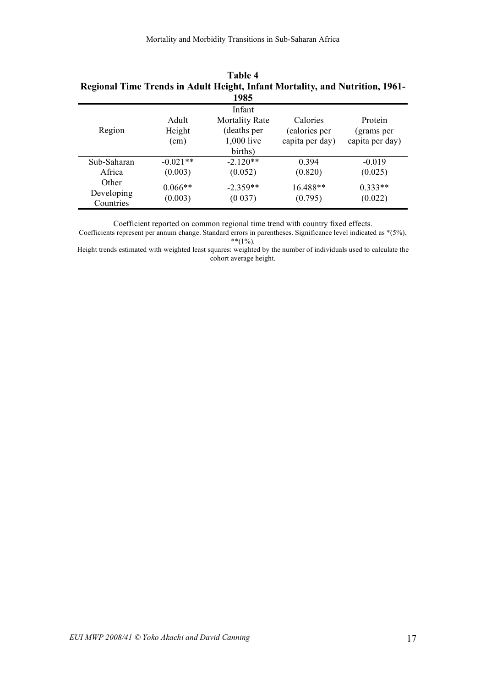| Regional Time Trends in Adult Height, Infant Mortality, and Nutrition, 1961- |            |                       |                 |                 |
|------------------------------------------------------------------------------|------------|-----------------------|-----------------|-----------------|
|                                                                              |            | 1985                  |                 |                 |
|                                                                              |            | Infant                |                 |                 |
|                                                                              | Adult      | <b>Mortality Rate</b> | Calories        | Protein         |
| Region                                                                       | Height     | (deaths per           | (calories per   | (grams per      |
|                                                                              | (cm)       | 1,000 live            | capita per day) | capita per day) |
|                                                                              |            | births)               |                 |                 |
| Sub-Saharan                                                                  | $-0.021**$ | $-2.120**$            | 0.394           | $-0.019$        |
| Africa                                                                       | (0.003)    | (0.052)               | (0.820)         | (0.025)         |
| Other                                                                        | $0.066**$  | $-2.359**$            | 16.488**        | $0.333**$       |
| Developing                                                                   | (0.003)    | (0.037)               | (0.795)         | (0.022)         |
| Countries                                                                    |            |                       |                 |                 |

**Table 4 Regional Time Trends in Adult Height, Infant Mortality, and Nutrition, 1961-**

Coefficient reported on common regional time trend with country fixed effects.

Coefficients represent per annum change. Standard errors in parentheses. Significance level indicated as \*(5%),  $**$ (1%).

Height trends estimated with weighted least squares: weighted by the number of individuals used to calculate the cohort average height.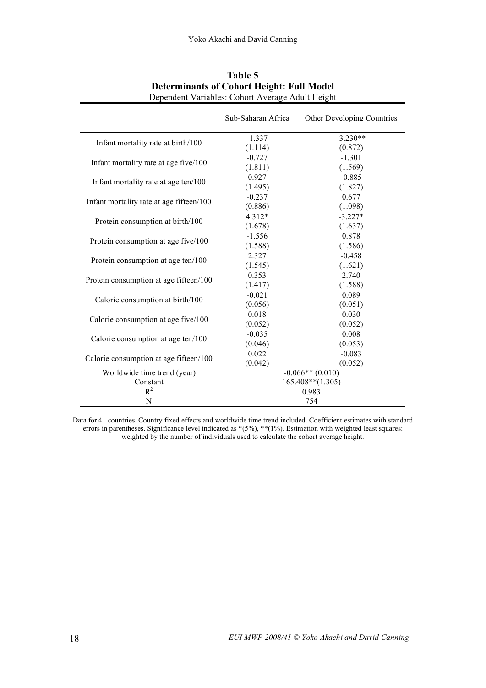|                                          | Sub-Saharan Africa | Other Developing Countries |  |
|------------------------------------------|--------------------|----------------------------|--|
|                                          | $-1.337$           | $-3.230**$                 |  |
| Infant mortality rate at birth/100       | (1.114)            | (0.872)                    |  |
| Infant mortality rate at age five/100    | $-0.727$           | $-1.301$                   |  |
|                                          | (1.811)            | (1.569)                    |  |
| Infant mortality rate at age ten/100     | 0.927              | $-0.885$                   |  |
|                                          | (1.495)            | (1.827)                    |  |
| Infant mortality rate at age fifteen/100 | $-0.237$           | 0.677                      |  |
|                                          | (0.886)            | (1.098)                    |  |
| Protein consumption at birth/100         | 4.312*             | $-3.227*$                  |  |
|                                          | (1.678)            | (1.637)                    |  |
| Protein consumption at age five/100      | $-1.556$           | 0.878                      |  |
|                                          | (1.588)            | (1.586)                    |  |
| Protein consumption at age ten/100       | 2.327              | $-0.458$                   |  |
|                                          | (1.545)            | (1.621)                    |  |
| Protein consumption at age fifteen/100   | 0.353              | 2.740                      |  |
|                                          | (1.417)            | (1.588)                    |  |
| Calorie consumption at birth/100         | $-0.021$           | 0.089                      |  |
|                                          | (0.056)            | (0.051)                    |  |
| Calorie consumption at age five/100      | 0.018              | 0.030                      |  |
|                                          | (0.052)            | (0.052)                    |  |
| Calorie consumption at age ten/100       | $-0.035$           | 0.008                      |  |
|                                          | (0.046)            | (0.053)                    |  |
| Calorie consumption at age fifteen/100   | 0.022              | $-0.083$                   |  |
|                                          | (0.042)            | (0.052)                    |  |
| Worldwide time trend (year)              | $-0.066**$ (0.010) |                            |  |
| Constant                                 |                    | $165.408**$ (1.305)        |  |
| $R^2$                                    |                    | 0.983                      |  |
| N                                        | 754                |                            |  |

## **Table 5 Determinants of Cohort Height: Full Model** Dependent Variables: Cohort Average Adult Height

Data for 41 countries. Country fixed effects and worldwide time trend included. Coefficient estimates with standard errors in parentheses. Significance level indicated as  $*(5\%)$ ,  $**$ (1%). Estimation with weighted least squares: weighted by the number of individuals used to calculate the cohort average height.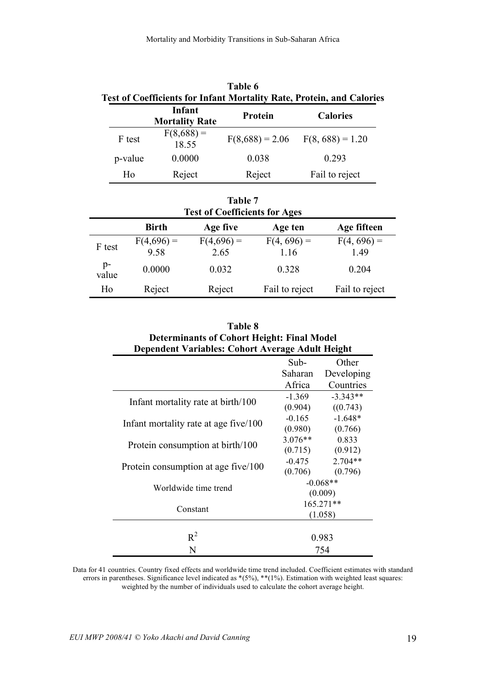| Table 6<br><b>Test of Coefficients for Infant Mortality Rate, Protein, and Calories</b> |                                 |                   |                    |  |
|-----------------------------------------------------------------------------------------|---------------------------------|-------------------|--------------------|--|
|                                                                                         | Infant<br><b>Mortality Rate</b> | Protein           | <b>Calories</b>    |  |
| F test                                                                                  | $F(8,688) =$<br>18.55           | $F(8,688) = 2.06$ | $F(8, 688) = 1.20$ |  |
| p-value                                                                                 | 0.0000                          | 0.038             | 0.293              |  |
| Ho                                                                                      | Reject                          | Reject            | Fail to reject     |  |

| <b>Table 7</b><br><b>Test of Coefficients for Ages</b> |                      |                      |                       |                       |  |
|--------------------------------------------------------|----------------------|----------------------|-----------------------|-----------------------|--|
| <b>Birth</b><br>Age fifteen<br>Age five<br>Age ten     |                      |                      |                       |                       |  |
| F test                                                 | $F(4,696) =$<br>9.58 | $F(4,696) =$<br>2.65 | $F(4, 696) =$<br>1.16 | $F(4, 696) =$<br>1.49 |  |
| $p-$<br>value                                          | 0.0000               | 0.032                | 0.328                 | 0.204                 |  |
| Ho                                                     | Reject               | Reject               | Fail to reject        | Fail to reject        |  |

| Table 8                                           |            |                      |  |
|---------------------------------------------------|------------|----------------------|--|
| <b>Determinants of Cohort Height: Final Model</b> |            |                      |  |
| Dependent Variables: Cohort Average Adult Height  |            |                      |  |
|                                                   | Sub-       | Other                |  |
|                                                   | Saharan    | Developing           |  |
|                                                   | Africa     | Countries            |  |
|                                                   | $-1.369$   | $-3.343**$           |  |
| Infant mortality rate at birth/100                |            | $(0.904)$ $((0.743)$ |  |
|                                                   | $-0.165$   | $-1.648*$            |  |
| Infant mortality rate at age five/100             |            | $(0.980)$ $(0.766)$  |  |
|                                                   | $3.076**$  | 0.833                |  |
| Protein consumption at birth/100                  | (0.715)    | (0.912)              |  |
|                                                   | $-0.475$   | $2.704**$            |  |
| Protein consumption at age five/100               | (0.706)    | (0.796)              |  |
|                                                   | $-0.068**$ |                      |  |
| Worldwide time trend                              |            | (0.009)              |  |
| Constant                                          | 165.271**  |                      |  |
|                                                   | (1.058)    |                      |  |
|                                                   |            |                      |  |
| $R^2$                                             |            | 0.983                |  |
| N                                                 | 754        |                      |  |

Data for 41 countries. Country fixed effects and worldwide time trend included. Coefficient estimates with standard errors in parentheses. Significance level indicated as \*(5%), \*\*(1%). Estimation with weighted least squares: weighted by the number of individuals used to calculate the cohort average height.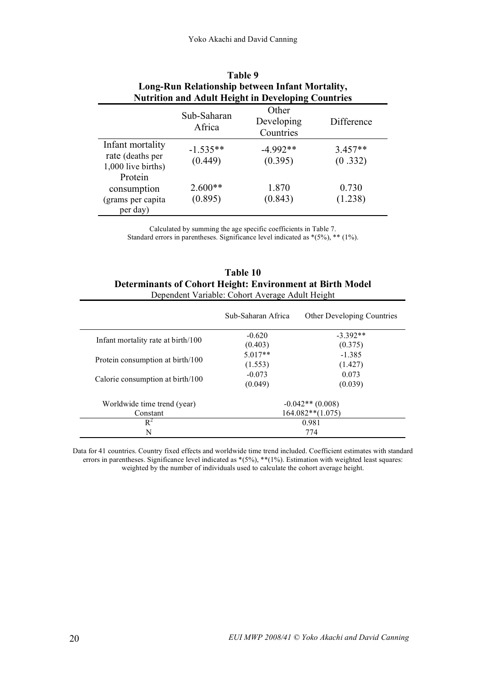| Table 9<br>Long-Run Relationship between Infant Mortality,<br><b>Nutrition and Adult Height in Developing Countries</b> |                       |                                  |                      |  |
|-------------------------------------------------------------------------------------------------------------------------|-----------------------|----------------------------------|----------------------|--|
|                                                                                                                         | Sub-Saharan<br>Africa | Other<br>Developing<br>Countries | Difference           |  |
| Infant mortality<br>rate (deaths per<br>1,000 live births)                                                              | $-1.535**$<br>(0.449) | $-4992**$<br>(0.395)             | $3.457**$<br>(0.332) |  |
| Protein<br>consumption<br>(grams per capita<br>per day)                                                                 | $2.600**$<br>(0.895)  | 1.870<br>(0.843)                 | 0.730<br>(1.238)     |  |

Calculated by summing the age specific coefficients in Table 7. Standard errors in parentheses. Significance level indicated as \*(5%), \*\* (1%).

| Table 10                                                  |
|-----------------------------------------------------------|
| Determinants of Cohort Height: Environment at Birth Model |
| Dependent Variable: Cohort Average Adult Height           |

|                                    | Sub-Saharan Africa    | Other Developing Countries |  |
|------------------------------------|-----------------------|----------------------------|--|
| Infant mortality rate at birth/100 | $-0.620$              | $-3.392**$                 |  |
|                                    | (0.403)               | (0.375)                    |  |
|                                    | $5.017**$             | $-1.385$                   |  |
| Protein consumption at birth/100   | (1.553)               | (1.427)                    |  |
|                                    | $-0.073$              | 0.073                      |  |
| Calorie consumption at birth/100   | (0.049)               | (0.039)                    |  |
| Worldwide time trend (year)        |                       | $-0.042**$ (0.008)         |  |
| Constant                           | $164.082**$ $(1.075)$ |                            |  |
| $R^2$                              | 0.981                 |                            |  |
| N                                  | 774                   |                            |  |

Data for 41 countries. Country fixed effects and worldwide time trend included. Coefficient estimates with standard errors in parentheses. Significance level indicated as \*(5%), \*\*(1%). Estimation with weighted least squares: weighted by the number of individuals used to calculate the cohort average height.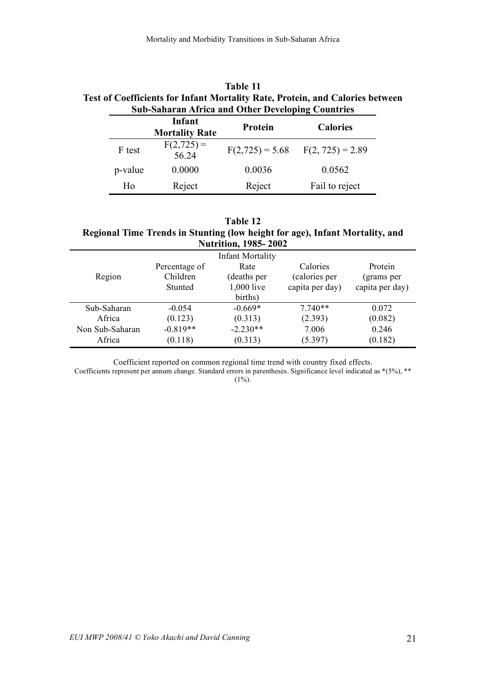# **Table 11 Test of Coefficients for Infant Mortality Rate, Protein, and Calories between Sub-Saharan Africa and Other Developing Countries**

|                | Infant<br><b>Mortality Rate</b> | <b>Calories</b><br>Protein |                    |
|----------------|---------------------------------|----------------------------|--------------------|
| F test         | $F(2,725) =$<br>56.24           | $F(2,725) = 5.68$          | $F(2, 725) = 2.89$ |
| p-value        | 0.0000                          | 0.0036                     | 0.0562             |
| H <sub>0</sub> | Reject                          | Reject                     | Fail to reject     |

| <b>Table 12</b>                                                              |  |  |  |  |
|------------------------------------------------------------------------------|--|--|--|--|
| Regional Time Trends in Stunting (low height for age), Infant Mortality, and |  |  |  |  |
| <b>Nutrition, 1985-2002</b>                                                  |  |  |  |  |

| $\frac{1}{2}$ |                         |                 |                 |  |  |  |
|---------------|-------------------------|-----------------|-----------------|--|--|--|
|               | <b>Infant Mortality</b> |                 |                 |  |  |  |
| Percentage of | Rate                    | Calories        | Protein         |  |  |  |
| Children      | (deaths per             | calories per    | (grams per      |  |  |  |
| Stunted       | 1,000 live              | capita per day) | capita per day) |  |  |  |
|               | births)                 |                 |                 |  |  |  |
| $-0.054$      | $-0.669*$               | $7.740**$       | 0.072           |  |  |  |
| (0.123)       | (0.313)                 | (2.393)         | (0.082)         |  |  |  |
| $-0.819**$    | $-2.230**$              | 7.006           | 0.246           |  |  |  |
| (0.118)       | (0.313)                 | (5.397)         | (0.182)         |  |  |  |
|               |                         |                 |                 |  |  |  |

Coefficient reported on common regional time trend with country fixed effects.

Coefficients represent per annum change. Standard errors in parentheses. Significance level indicated as \*(5%), \*\*  $(1\%)$ .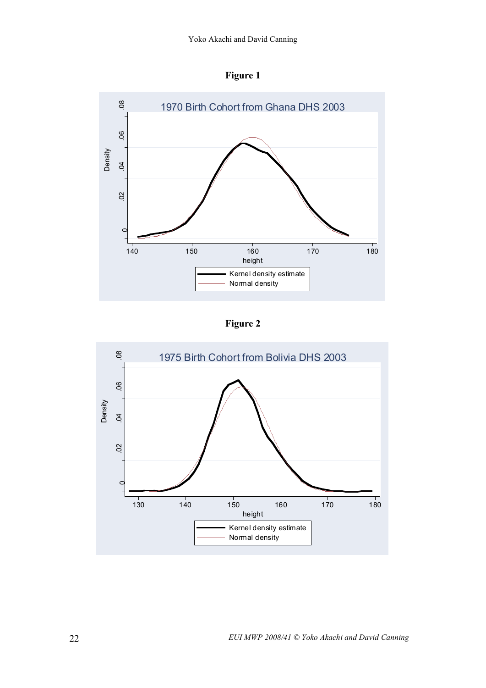



**Figure 2**

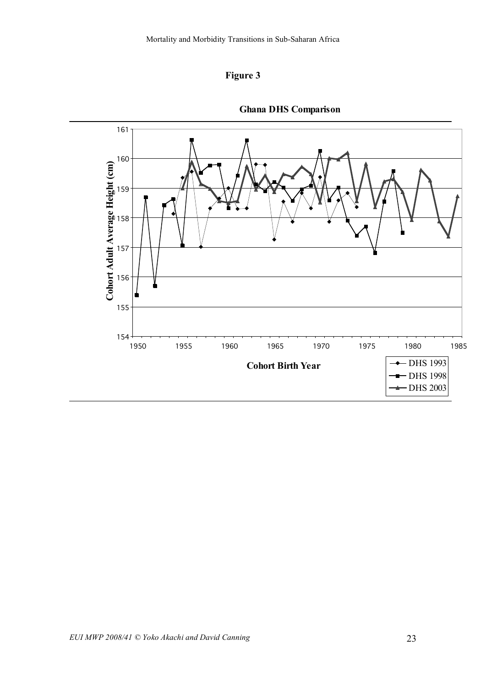



**Ghana DHS Comparison**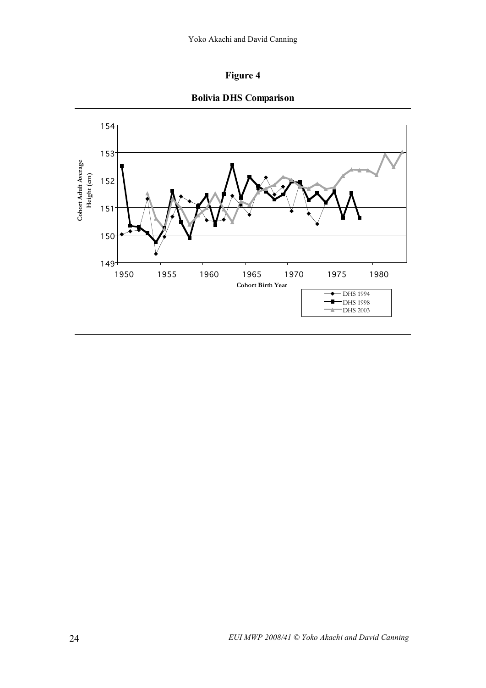



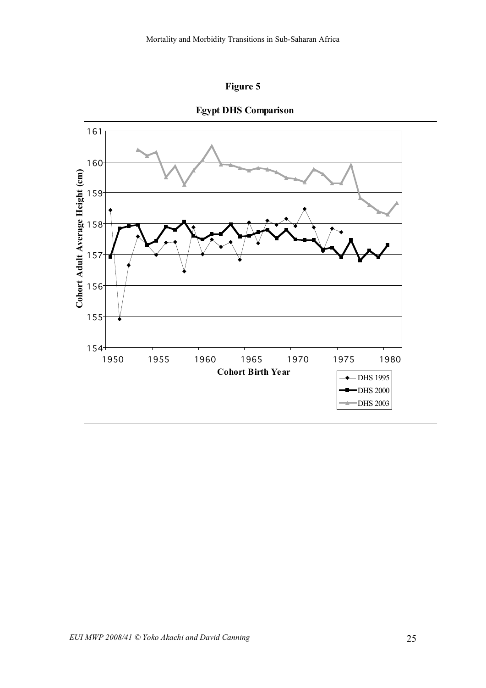



**Egypt DHS Comparison**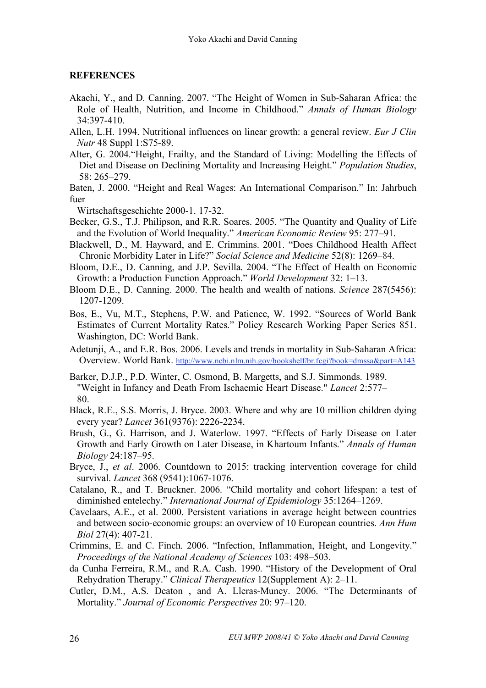## **REFERENCES**

- Akachi, Y., and D. Canning. 2007. "The Height of Women in Sub-Saharan Africa: the Role of Health, Nutrition, and Income in Childhood." *Annals of Human Biology* 34:397-410.
- Allen, L.H. 1994. Nutritional influences on linear growth: a general review. *Eur J Clin Nutr* 48 Suppl 1:S75-89.
- Alter, G. 2004."Height, Frailty, and the Standard of Living: Modelling the Effects of Diet and Disease on Declining Mortality and Increasing Height." *Population Studies*, 58: 265–279.
- Baten, J. 2000. "Height and Real Wages: An International Comparison." In: Jahrbuch fuer

Wirtschaftsgeschichte 2000-1. 17-32.

- Becker, G.S., T.J. Philipson, and R.R. Soares. 2005. "The Quantity and Quality of Life and the Evolution of World Inequality." *American Economic Review* 95: 277–91.
- Blackwell, D., M. Hayward, and E. Crimmins. 2001. "Does Childhood Health Affect Chronic Morbidity Later in Life?" *Social Science and Medicine* 52(8): 1269–84.
- Bloom, D.E., D. Canning, and J.P. Sevilla. 2004. "The Effect of Health on Economic Growth: a Production Function Approach." *World Development* 32: 1–13.
- Bloom D.E., D. Canning. 2000. The health and wealth of nations. *Science* 287(5456): 1207-1209.
- Bos, E., Vu, M.T., Stephens, P.W. and Patience, W. 1992. "Sources of World Bank Estimates of Current Mortality Rates." Policy Research Working Paper Series 851. Washington, DC: World Bank.
- Adetunji, A., and E.R. Bos. 2006. Levels and trends in mortality in Sub-Saharan Africa: Overview. World Bank. http://www.ncbi.nlm.nih.gov/bookshelf/br.fcgi?book=dmssa&part=A143
- Barker, D.J.P., P.D. Winter, C. Osmond, B. Margetts, and S.J. Simmonds. 1989. "Weight in Infancy and Death From Ischaemic Heart Disease." *Lancet* 2:577– 80.
- Black, R.E., S.S. Morris, J. Bryce. 2003. Where and why are 10 million children dying every year? *Lancet* 361(9376): 2226-2234.
- Brush, G., G. Harrison, and J. Waterlow. 1997. "Effects of Early Disease on Later Growth and Early Growth on Later Disease, in Khartoum Infants." *Annals of Human Biology* 24:187–95.
- Bryce, J., *et al*. 2006. Countdown to 2015: tracking intervention coverage for child survival. *Lancet* 368 (9541):1067-1076.
- Catalano, R., and T. Bruckner. 2006. "Child mortality and cohort lifespan: a test of diminished entelechy." *International Journal of Epidemiology* 35:1264–1269.
- Cavelaars, A.E., et al. 2000. Persistent variations in average height between countries and between socio-economic groups: an overview of 10 European countries. *Ann Hum Biol* 27(4): 407-21.
- Crimmins, E. and C. Finch. 2006. "Infection, Inflammation, Height, and Longevity." *Proceedings of the National Academy of Sciences* 103: 498–503.
- da Cunha Ferreira, R.M., and R.A. Cash. 1990. "History of the Development of Oral Rehydration Therapy." *Clinical Therapeutics* 12(Supplement A): 2–11.
- Cutler, D.M., A.S. Deaton , and A. Lleras-Muney. 2006. "The Determinants of Mortality." *Journal of Economic Perspectives* 20: 97–120.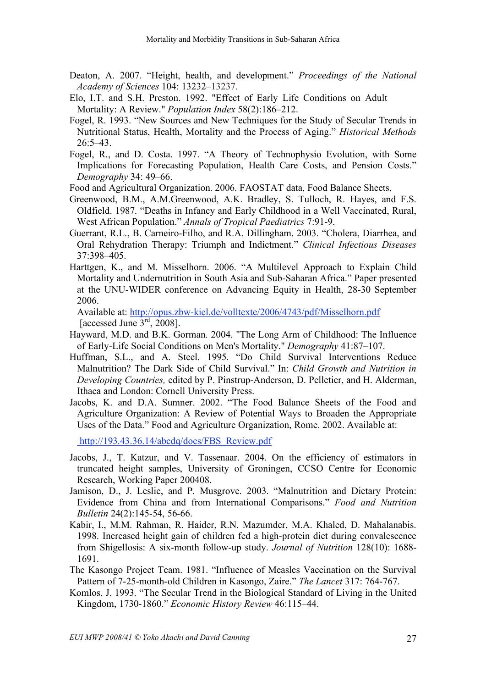- Deaton, A. 2007. "Height, health, and development." *Proceedings of the National Academy of Sciences* 104: 13232–13237.
- Elo, I.T. and S.H. Preston. 1992. "Effect of Early Life Conditions on Adult Mortality: A Review." *Population Index* 58(2):186–212.
- Fogel, R. 1993. "New Sources and New Techniques for the Study of Secular Trends in Nutritional Status, Health, Mortality and the Process of Aging." *Historical Methods* 26:5–43.
- Fogel, R., and D. Costa. 1997. "A Theory of Technophysio Evolution, with Some Implications for Forecasting Population, Health Care Costs, and Pension Costs." *Demography* 34: 49–66.
- Food and Agricultural Organization. 2006. FAOSTAT data, Food Balance Sheets.
- Greenwood, B.M., A.M.Greenwood, A.K. Bradley, S. Tulloch, R. Hayes, and F.S. Oldfield. 1987. "Deaths in Infancy and Early Childhood in a Well Vaccinated, Rural, West African Population." *Annals of Tropical Paediatrics* 7:91-9.
- Guerrant, R.L., B. Carneiro-Filho, and R.A. Dillingham. 2003. "Cholera, Diarrhea, and Oral Rehydration Therapy: Triumph and Indictment." *Clinical Infectious Diseases* 37:398–405.
- Harttgen, K., and M. Misselhorn. 2006. "A Multilevel Approach to Explain Child Mortality and Undernutrition in South Asia and Sub-Saharan Africa." Paper presented at the UNU-WIDER conference on Advancing Equity in Health, 28-30 September 2006.

Available at: http://opus.zbw-kiel.de/volltexte/2006/4743/pdf/Misselhorn.pdf [accessed June  $3<sup>rd</sup>$ , 2008].

- Hayward, M.D. and B.K. Gorman. 2004. "The Long Arm of Childhood: The Influence of Early-Life Social Conditions on Men's Mortality." *Demography* 41:87–107.
- Huffman, S.L., and A. Steel. 1995. "Do Child Survival Interventions Reduce Malnutrition? The Dark Side of Child Survival." In: *Child Growth and Nutrition in Developing Countries,* edited by P. Pinstrup-Anderson, D. Pelletier, and H. Alderman, Ithaca and London: Cornell University Press.
- Jacobs, K. and D.A. Sumner. 2002. "The Food Balance Sheets of the Food and Agriculture Organization: A Review of Potential Ways to Broaden the Appropriate Uses of the Data." Food and Agriculture Organization, Rome. 2002. Available at:

http://193.43.36.14/abcdq/docs/FBS\_Review.pdf

- Jacobs, J., T. Katzur, and V. Tassenaar. 2004. On the efficiency of estimators in truncated height samples, University of Groningen, CCSO Centre for Economic Research, Working Paper 200408.
- Jamison, D., J. Leslie, and P. Musgrove. 2003. "Malnutrition and Dietary Protein: Evidence from China and from International Comparisons." *Food and Nutrition Bulletin* 24(2):145-54, 56-66.
- Kabir, I., M.M. Rahman, R. Haider, R.N. Mazumder, M.A. Khaled, D. Mahalanabis. 1998. Increased height gain of children fed a high-protein diet during convalescence from Shigellosis: A six-month follow-up study. *Journal of Nutrition* 128(10): 1688- 1691.
- The Kasongo Project Team. 1981. "Influence of Measles Vaccination on the Survival Pattern of 7-25-month-old Children in Kasongo, Zaire." *The Lancet* 317: 764-767.
- Komlos, J. 1993. "The Secular Trend in the Biological Standard of Living in the United Kingdom, 1730-1860." *Economic History Review* 46:115–44.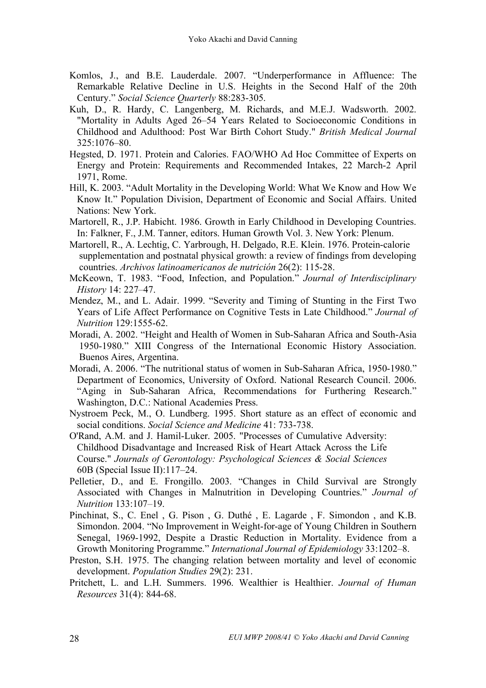- Komlos, J., and B.E. Lauderdale. 2007. "Underperformance in Affluence: The Remarkable Relative Decline in U.S. Heights in the Second Half of the 20th Century." *Social Science Quarterly* 88:283-305.
- Kuh, D., R. Hardy, C. Langenberg, M. Richards, and M.E.J. Wadsworth. 2002. "Mortality in Adults Aged 26–54 Years Related to Socioeconomic Conditions in Childhood and Adulthood: Post War Birth Cohort Study." *British Medical Journal* 325:1076–80.
- Hegsted, D. 1971. Protein and Calories. FAO/WHO Ad Hoc Committee of Experts on Energy and Protein: Requirements and Recommended Intakes, 22 March-2 April 1971, Rome.
- Hill, K. 2003. "Adult Mortality in the Developing World: What We Know and How We Know It." Population Division, Department of Economic and Social Affairs. United Nations: New York.
- Martorell, R., J.P. Habicht. 1986. Growth in Early Childhood in Developing Countries. In: Falkner, F., J.M. Tanner, editors. Human Growth Vol. 3. New York: Plenum.
- Martorell, R., A. Lechtig, C. Yarbrough, H. Delgado, R.E. Klein. 1976. Protein-calorie supplementation and postnatal physical growth: a review of findings from developing countries. *Archivos latinoamericanos de nutrición* 26(2): 115-28.
- McKeown, T. 1983. "Food, Infection, and Population." *Journal of Interdisciplinary History* 14: 227–47.
- Mendez, M., and L. Adair. 1999. "Severity and Timing of Stunting in the First Two Years of Life Affect Performance on Cognitive Tests in Late Childhood." *Journal of Nutrition* 129:1555-62.
- Moradi, A. 2002. "Height and Health of Women in Sub-Saharan Africa and South-Asia 1950-1980." XIII Congress of the International Economic History Association. Buenos Aires, Argentina.
- Moradi, A. 2006. "The nutritional status of women in Sub-Saharan Africa, 1950-1980." Department of Economics, University of Oxford. National Research Council. 2006. "Aging in Sub-Saharan Africa, Recommendations for Furthering Research." Washington, D.C.: National Academies Press.

Nystroem Peck, M., O. Lundberg. 1995. Short stature as an effect of economic and social conditions. *Social Science and Medicine* 41: 733-738.

- O'Rand, A.M. and J. Hamil-Luker. 2005. "Processes of Cumulative Adversity: Childhood Disadvantage and Increased Risk of Heart Attack Across the Life Course." *Journals of Gerontology: Psychological Sciences & Social Sciences* 60B (Special Issue II):117–24.
- Pelletier, D., and E. Frongillo. 2003. "Changes in Child Survival are Strongly Associated with Changes in Malnutrition in Developing Countries." *Journal of Nutrition* 133:107–19.
- Pinchinat, S., C. Enel , G. Pison , G. Duthé , E. Lagarde , F. Simondon , and K.B. Simondon. 2004. "No Improvement in Weight-for-age of Young Children in Southern Senegal, 1969-1992, Despite a Drastic Reduction in Mortality. Evidence from a Growth Monitoring Programme." *International Journal of Epidemiology* 33:1202–8.
- Preston, S.H. 1975. The changing relation between mortality and level of economic development. *Population Studies* 29(2): 231.
- Pritchett, L. and L.H. Summers. 1996. Wealthier is Healthier. *Journal of Human Resources* 31(4): 844-68.